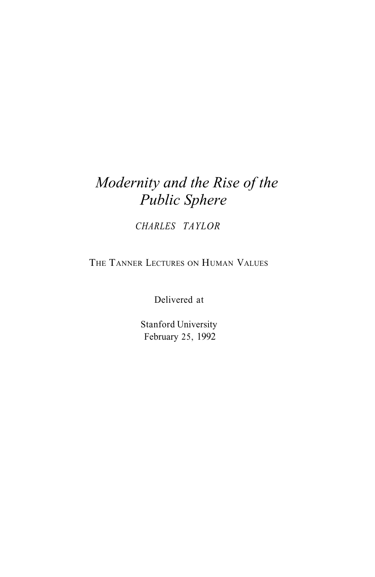# *Modernity and the Rise of the Public Sphere*

*CHARLES TAYLOR* 

THE TANNER LECTURES ON HUMAN VALUES

Delivered at

Stanford University February 25, 1992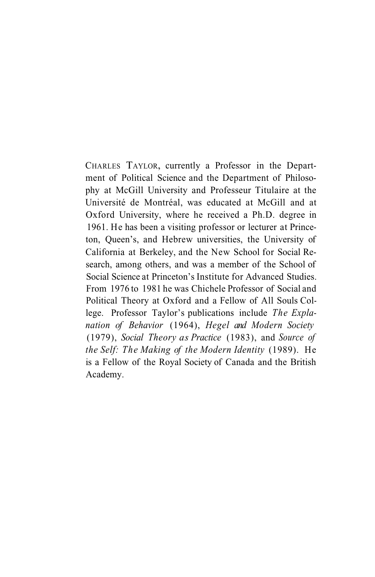CHARLES TAYLOR, currently a Professor in the Department of Political Science and the Department of Philosophy at McGill University and Professeur Titulaire at the Université de Montréal, was educated at McGill and at Oxford University, where he received a Ph.D. degree in 1961. He has been a visiting professor or lecturer at Princeton, Queen's, and Hebrew universities, the University of California at Berkeley, and the New School for Social Research, among others, and was a member of the School of Social Science at Princeton's Institute for Advanced Studies. From 1976 to 1981 he was Chichele Professor of Social and Political Theory at Oxford and a Fellow of All Souls College. Professor Taylor's publications include *The Explanation of Behavior* (1964), *Hegel and Modern Society*  (1979), *Social Theory as Practice* (1983), and *Source of the Self: The Making of the Modern Identity* (1989). He is a Fellow of the Royal Society of Canada and the British Academy.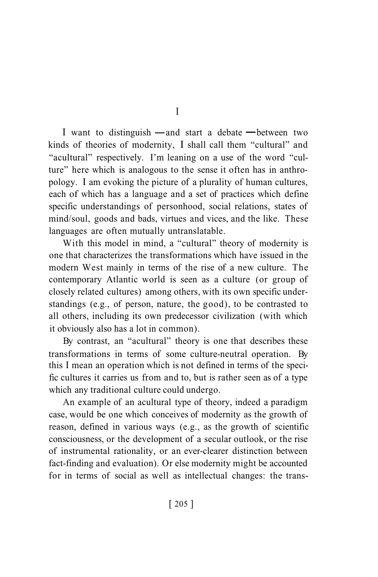I want to distinguish — and start a debate — between two kinds of theories of modernity, I shall call them "cultural" and "acultural" respectively. I'm leaning on a use of the word "culture" here which is analogous to the sense it often has in anthropology. I am evoking the picture of a plurality of human cultures, each of which has a language and a set of practices which define specific understandings of personhood, social relations, states of mind/soul, goods and bads, virtues and vices, and the like. These languages are often mutually untranslatable.

With this model in mind, a "cultural" theory of modernity is one that characterizes the transformations which have issued in the modern West mainly in terms of the rise of a new culture. The contemporary Atlantic world is seen as a culture (or group of closely related cultures) among others, with its own specific understandings (e.g., of person, nature, the good), to be contrasted to all others, including its own predecessor civilization (with which it obviously also has a lot in common).

By contrast, an "acultural" theory is one that describes these transformations in terms of some culture-neutral operation. By this I mean an operation which is not defined in terms of the specific cultures it carries us from and to, but is rather seen as of a type which any traditional culture could undergo.

An example of an acultural type of theory, indeed a paradigm case, would be one which conceives of modernity as the growth of reason, defined in various ways (e.g., as the growth of scientific consciousness, or the development of a secular outlook, or the rise of instrumental rationality, or an ever-clearer distinction between fact-finding and evaluation). Or else modernity might be accounted for in terms of social as well as intellectual changes: the trans-

I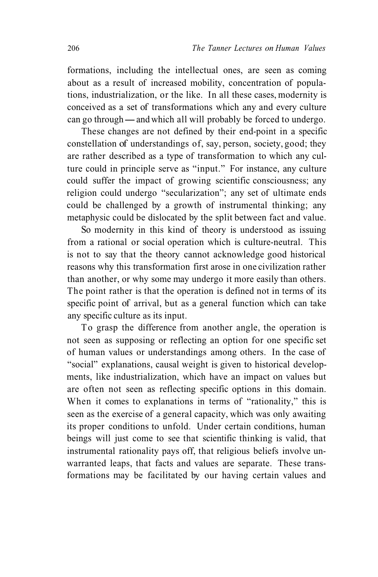formations, including the intellectual ones, are seen as coming about as a result of increased mobility, concentration of populations, industrialization, or the like. In all these cases, modernity is conceived as a set of transformations which any and every culture tions, industrialization, or the like. In all these cases, modernity is<br>conceived as a set of transformations which any and every culture<br>can go through—and which all will probably be forced to undergo.<br>These sharpes are n

These changes are not defined by their end-point in a specific constellation of understandings of, say, person, society, good; they are rather described as a type of transformation to which any culture could in principle serve as "input." For instance, any culture could suffer the impact of growing scientific consciousness; any religion could undergo "secularization"; any set of ultimate ends could be challenged by a growth of instrumental thinking; any metaphysic could be dislocated by the split between fact and value.

So modernity in this kind of theory is understood as issuing from a rational or social operation which is culture-neutral. This is not to say that the theory cannot acknowledge good historical reasons why this transformation first arose in one civilization rather than another, or why some may undergo it more easily than others. The point rather is that the operation is defined not in terms of its specific point of arrival, but as a general function which can take any specific culture as its input.

To grasp the difference from another angle, the operation is not seen as supposing or reflecting an option for one specific set of human values or understandings among others. In the case of "social" explanations, causal weight is given to historical developments, like industrialization, which have an impact on values but are often not seen as reflecting specific options in this domain. When it comes to explanations in terms of "rationality," this is seen as the exercise of a general capacity, which was only awaiting its proper conditions to unfold. Under certain conditions, human beings will just come to see that scientific thinking is valid, that instrumental rationality pays off, that religious beliefs involve unwarranted leaps, that facts and values are separate. These transformations may be facilitated by our having certain values and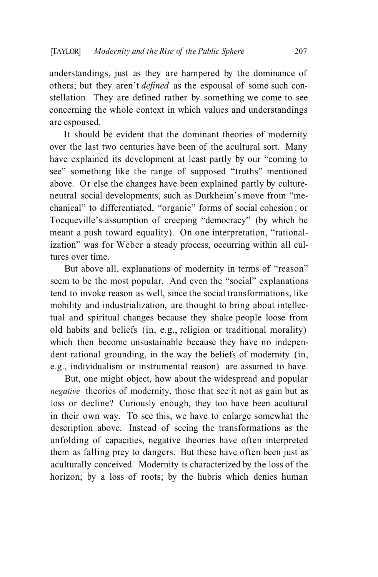understandings, just as they are hampered by the dominance of others; but they aren't *defined* as the espousal of some such constellation. They are defined rather by something we come to see concerning the whole context in which values and understandings are espoused.

It should be evident that the dominant theories of modernity over the last two centuries have been of the acultural sort. Many have explained its development at least partly by our "coming to see" something like the range of supposed "truths" mentioned above. Or else the changes have been explained partly by cultureneutral social developments, such as Durkheim's move from "mechanical" to differentiated, "organic" forms of social cohesion ; or Tocqueville's assumption of creeping "democracy" (by which he meant a push toward equality). On one interpretation, "rationalization" was for Weber a steady process, occurring within all cultures over time.

But above all, explanations of modernity in terms of "reason" seem to be the most popular. And even the "social" explanations tend to invoke reason as well, since the social transformations, like mobility and industrialization, are thought to bring about intellectual and spiritual changes because they shake people loose from old habits and beliefs (in, e.g., religion or traditional morality) which then become unsustainable because they have no independent rational grounding, in the way the beliefs of modernity (in, e.g., individualism or instrumental reason) are assumed to have.

But, one might object, how about the widespread and popular *negative* theories of modernity, those that see it not as gain but as loss or decline? Curiously enough, they too have been acultural in their own way. To see this, we have to enlarge somewhat the description above. Instead of seeing the transformations as the unfolding of capacities, negative theories have often interpreted them as falling prey to dangers. But these have often been just as aculturally conceived. Modernity is characterized by the loss of the horizon; by a loss of roots; by the hubris which denies human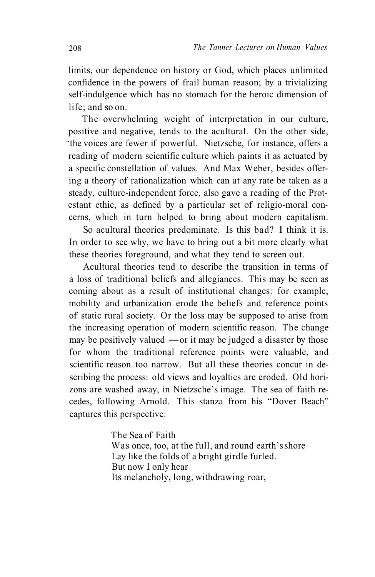limits, our dependence on history or God, which places unlimited confidence in the powers of frail human reason; by a trivializing self-indulgence which has no stomach for the heroic dimension of life; and so on.

The overwhelming weight of interpretation in our culture, positive and negative, tends to the acultural. On the other side, 'the voices are fewer if powerful. Nietzsche, for instance, offers a reading of modern scientific culture which paints it as actuated by a specific constellation of values. And Max Weber, besides offering a theory of rationalization which can at any rate be taken as a steady, culture-independent force, also gave a reading of the Protestant ethic, as defined by a particular set of religio-moral concerns, which in turn helped to bring about modern capitalism.

So acultural theories predominate. Is this bad? I think it is. In order to see why, we have to bring out a bit more clearly what these theories foreground, and what they tend to screen out.

Acultural theories tend to describe the transition in terms of a loss of traditional beliefs and allegiances. This may be seen as coming about as a result of institutional changes: for example, mobility and urbanization erode the beliefs and reference points of static rural society. Or the loss may be supposed to arise from the increasing operation of modern scientific reason. The change may be positively valued  $\sim$  or it may be judged a disaster by those for whom the traditional reference points were valuable, and scientific reason too narrow. But all these theories concur in describing the process: old views and loyalties are eroded. Old horizons are washed away, in Nietzsche's image. The sea of faith recedes, following Arnold. This stanza from his "Dover Beach" captures this perspective:

> The Sea of Faith Was once, too, at the full, and round earth's shore Lay like the folds of a bright girdle furled. But now I only hear Its melancholy, long, withdrawing roar,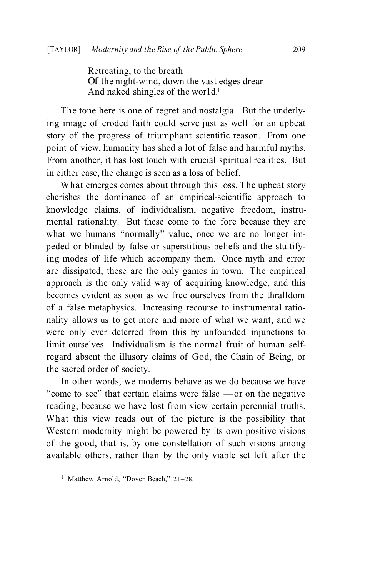Retreating, to the breath Of the night-wind, down the vast edges drear And naked shingles of the wor1d.<sup>1</sup>

The tone here is one of regret and nostalgia. But the underlying image of eroded faith could serve just as well for an upbeat story of the progress of triumphant scientific reason. From one point of view, humanity has shed a lot of false and harmful myths. From another, it has lost touch with crucial spiritual realities. But in either case, the change is seen as a loss of belief.

What emerges comes about through this loss. The upbeat story cherishes the dominance of an empirical-scientific approach to knowledge claims, of individualism, negative freedom, instrumental rationality. But these come to the fore because they are what we humans "normally" value, once we are no longer impeded or blinded by false or superstitious beliefs and the stultifying modes of life which accompany them. Once myth and error are dissipated, these are the only games in town. The empirical approach is the only valid way of acquiring knowledge, and this becomes evident as soon as we free ourselves from the thralldom of a false metaphysics. Increasing recourse to instrumental rationality allows us to get more and more of what we want, and we were only ever deterred from this by unfounded injunctions to limit ourselves. Individualism is the normal fruit of human selfregard absent the illusory claims of God, the Chain of Being, or the sacred order of society.

In other words, we moderns behave as we do because we have "come to see" that certain claims were false — or on the negative reading, because we have lost from view certain perennial truths. What this view reads out of the picture is the possibility that Western modernity might be powered by its own positive visions of the good, that is, by one constellation of such visions among available others, rather than by the only viable set left after the

<sup>&</sup>lt;sup>1</sup> Matthew Arnold, "Dover Beach," 21-28.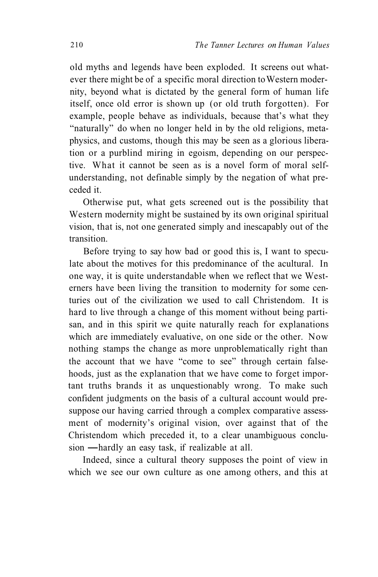old myths and legends have been exploded. It screens out whatever there might be of a specific moral direction to Western modernity, beyond what is dictated by the general form of human life itself, once old error is shown up (or old truth forgotten). For example, people behave as individuals, because that's what they "naturally" do when no longer held in by the old religions, metaphysics, and customs, though this may be seen as a glorious liberation or a purblind miring in egoism, depending on our perspective. What it cannot be seen as is a novel form of moral selfunderstanding, not definable simply by the negation of what preceded it.

Otherwise put, what gets screened out is the possibility that Western modernity might be sustained by its own original spiritual vision, that is, not one generated simply and inescapably out of the transition.

Before trying to say how bad or good this is, I want to speculate about the motives for this predominance of the acultural. In one way, it is quite understandable when we reflect that we Westerners have been living the transition to modernity for some centuries out of the civilization we used to call Christendom. It is hard to live through a change of this moment without being partisan, and in this spirit we quite naturally reach for explanations which are immediately evaluative, on one side or the other. Now nothing stamps the change as more unproblematically right than the account that we have "come to see" through certain falsehoods, just as the explanation that we have come to forget important truths brands it as unquestionably wrong. To make such confident judgments on the basis of a cultural account would presuppose our having carried through a complex comparative assessment of modernity's original vision, over against that of the Christendom which preceded it, to a clear unambiguous conclument of modernity's original vision, over a<br>Christendom which preceded it, to a clear una<br>sion —hardly an easy task, if realizable at all.

Indeed, since a cultural theory supposes the point of view in which we see our own culture as one among others, and this at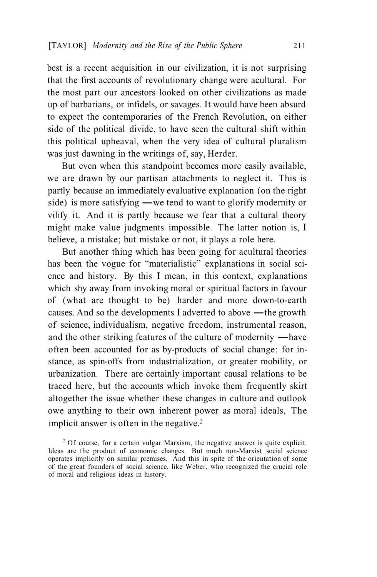best is a recent acquisition in our civilization, it is not surprising that the first accounts of revolutionary change were acultural. For the most part our ancestors looked on other civilizations as made up of barbarians, or infidels, or savages. It would have been absurd to expect the contemporaries of the French Revolution, on either side of the political divide, to have seen the cultural shift within this political upheaval, when the very idea of cultural pluralism was just dawning in the writings of, say, Herder.

But even when this standpoint becomes more easily available, we are drawn by our partisan attachments to neglect it. This is partly because an immediately evaluative explanation (on the right side) is more satisfying — we tend to want to glorify modernity or vilify it. And it is partly because we fear that a cultural theory might make value judgments impossible. The latter notion is, I believe, a mistake; but mistake or not, it plays a role here.

But another thing which has been going for acultural theories has been the vogue for "materialistic" explanations in social science and history. By this I mean, in this context, explanations which shy away from invoking moral or spiritual factors in favour of (what are thought to be) harder and more down-to-earth which shy away from invoking moral or spiritual factors in favour<br>of (what are thought to be) harder and more down-to-earth<br>causes. And so the developments I adverted to above —the growth of science, individualism, negative freedom, instrumental reason, causes. And so the developments I adverted to above —the growth of science, individualism, negative freedom, instrumental reason, and the other striking features of the culture of modernity —have often been accounted for as by-products of social change: for instance, as spin-offs from industrialization, or greater mobility, or urbanization. There are certainly important causal relations to be traced here, but the accounts which invoke them frequently skirt altogether the issue whether these changes in culture and outlook owe anything to their own inherent power as moral ideals, The implicit answer is often in the negative.<sup>2</sup>

 $2$  Of course, for a certain vulgar Marxism, the negative answer is quite explicit. Ideas are the product of economic changes. But much non-Marxist social science operates implicitly on similar premises. And this in spite of the orientation of some of the great founders of social science, like Weber, who recognized the crucial role of moral and religious ideas in history.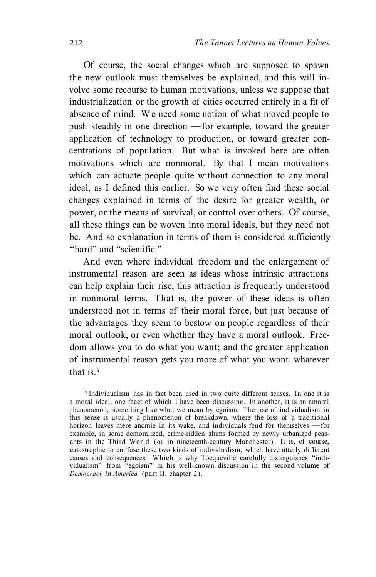Of course, the social changes which are supposed to spawn the new outlook must themselves be explained, and this will involve some recourse to human motivations, unless we suppose that industrialization or the growth of cities occurred entirely in a fit of absence of mind. We need some notion of what moved people to push steadily in one direction - for example, toward the greater application of technology to production, or toward greater concentrations of population. But what is invoked here are often motivations which are nonmoral. By that I mean motivations which can actuate people quite without connection to any moral ideal, as I defined this earlier. So we very often find these social changes explained in terms of the desire for greater wealth, or power, or the means of survival, or control over others. Of course, all these things can be woven into moral ideals, but they need not be. And so explanation in terms of them is considered sufficiently "hard" and "scientific."

And even where individual freedom and the enlargement of instrumental reason are seen as ideas whose intrinsic attractions can help explain their rise, this attraction is frequently understood in nonmoral terms. That is, the power of these ideas is often understood not in terms of their moral force, but just because of the advantages they seem to bestow on people regardless of their moral outlook, or even whether they have a moral outlook. Freedom allows you to do what you want; and the greater application of instrumental reason gets you more of what you want, whatever that is 3

3 Individualism has in fact been used in two quite different senses. In one it is a moral ideal, one facet of which I have been discussing. In another, it is an amoral phenomenon, something like what we mean by egoism. The rise of individualism in this sense is usually a phenomenon of breakdown, where the loss of a traditional phenomenon, something like what we mean by egoism. The rise of individualism in<br>this sense is usually a phenomenon of breakdown, where the loss of a traditional<br>horizon leaves mere anomie in its wake, and individuals fend example, in some demoralized, crime-ridden slums formed by newly urbanized peasants in the Third World (or in nineteenth-century Manchester). It is, of course, catastrophic to confuse these two kinds of individualism, which have utterly different causes and consequences. Which is why Tocqueville carefully distinguishes "individualism" from "egoism" in his well-known discussion in the second volume of *Democracy in America* (part II, chapter 2).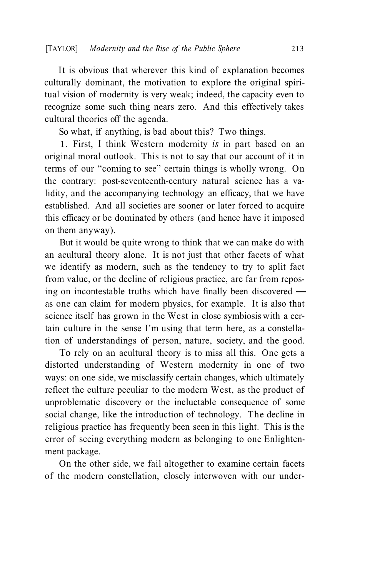It is obvious that wherever this kind of explanation becomes culturally dominant, the motivation to explore the original spiritual vision of modernity is very weak; indeed, the capacity even to recognize some such thing nears zero. And this effectively takes cultural theories off the agenda.

So what, if anything, is bad about this? Two things.

1. First, I think Western modernity *is* in part based on an original moral outlook. This is not to say that our account of it in terms of our "coming to see" certain things is wholly wrong. On the contrary: post-seventeenth-century natural science has a validity, and the accompanying technology an efficacy, that we have established. And all societies are sooner or later forced to acquire this efficacy or be dominated by others (and hence have it imposed on them anyway).

But it would be quite wrong to think that we can make do with an acultural theory alone. It is not just that other facets of what we identify as modern, such as the tendency to try to split fact from value, or the decline of religious practice, are far from reposing on incontestable truths which have finally been discovered as one can claim for modern physics, for example. It is also that science itself has grown in the West in close symbiosis with a certain culture in the sense I'm using that term here, as a constellation of understandings of person, nature, society, and the good.

To rely on an acultural theory is to miss all this. One gets a distorted understanding of Western modernity in one of two ways: on one side, we misclassify certain changes, which ultimately reflect the culture peculiar to the modern West, as the product of unproblematic discovery or the ineluctable consequence of some social change, like the introduction of technology. The decline in religious practice has frequently been seen in this light. This is the error of seeing everything modern as belonging to one Enlightenment package.

On the other side, we fail altogether to examine certain facets of the modern constellation, closely interwoven with our under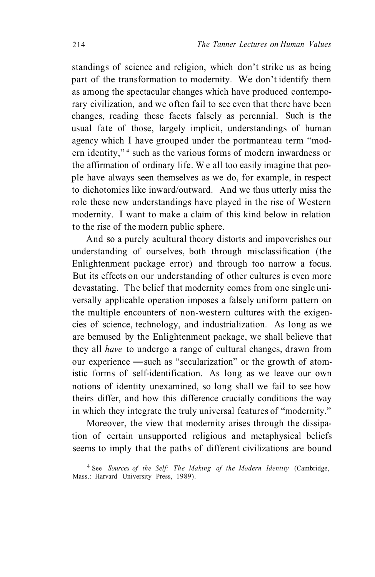standings of science and religion, which don't strike us as being part of the transformation to modernity. We don't identify them as among the spectacular changes which have produced contemporary civilization, and we often fail to see even that there have been changes, reading these facets falsely as perennial. Such is the usual fate of those, largely implicit, understandings of human agency which I have grouped under the portmanteau term "modern identity,"<sup>4</sup> such as the various forms of modern inwardness or the affirmation of ordinary life. We all too easily imagine that people have always seen themselves as we do, for example, in respect to dichotomies like inward/outward. And we thus utterly miss the role these new understandings have played in the rise of Western modernity. I want to make a claim of this kind below in relation to the rise of the modern public sphere.

And so a purely acultural theory distorts and impoverishes our understanding of ourselves, both through misclassification (the Enlightenment package error) and through too narrow a focus. But its effects on our understanding of other cultures is even more devastating. The belief that modernity comes from one single universally applicable operation imposes a falsely uniform pattern on the multiple encounters of non-western cultures with the exigencies of science, technology, and industrialization. As long as we are bemused by the Enlightenment package, we shall believe that they all *have* to undergo a range of cultural changes, drawn from our experience — such as "secularization" or the growth of atomistic forms of self-identification. As long as we leave our own notions of identity unexamined, so long shall we fail to see how theirs differ, and how this difference crucially conditions the way in which they integrate the truly universal features of "modernity."

Moreover, the view that modernity arises through the dissipation of certain unsupported religious and metaphysical beliefs seems to imply that the paths of different civilizations are bound

<sup>4</sup> See *Sources of the Self: The Making of the Modern Identity* (Cambridge, Mass.: Harvard University Press, 1989).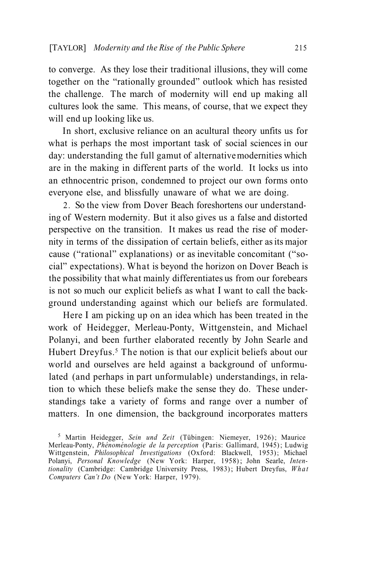to converge. As they lose their traditional illusions, they will come together on the "rationally grounded" outlook which has resisted the challenge. The march of modernity will end up making all cultures look the same. This means, of course, that we expect they will end up looking like us.

In short, exclusive reliance on an acultural theory unfits us for what is perhaps the most important task of social sciences in our day: understanding the full gamut of alternative modernities which are in the making in different parts of the world. It locks us into an ethnocentric prison, condemned to project our own forms onto everyone else, and blissfully unaware of what we are doing.

2. So the view from Dover Beach foreshortens our understanding of Western modernity. But it also gives us a false and distorted perspective on the transition. It makes us read the rise of modernity in terms of the dissipation of certain beliefs, either as its major cause ("rational" explanations) or as inevitable concomitant ("social" expectations). What is beyond the horizon on Dover Beach is the possibility that what mainly differentiates us from our forebears is not so much our explicit beliefs as what I want to call the background understanding against which our beliefs are formulated.

Here I am picking up on an idea which has been treated in the work of Heidegger, Merleau-Ponty, Wittgenstein, and Michael Polanyi, and been further elaborated recently by John Searle and Hubert Dreyfus.<sup>5</sup> The notion is that our explicit beliefs about our world and ourselves are held against a background of unformulated (and perhaps in part unformulable) understandings, in relation to which these beliefs make the sense they do. These understandings take a variety of forms and range over a number of matters. In one dimension, the background incorporates matters

<sup>&</sup>lt;sup>5</sup> Martin Heidegger, *Sein und Zeit* (Tübingen: Niemeyer, 1926); Maurice Merleau-Ponty, *Phénoménologie de la perception* (Paris: Gallimard, 1945) ; Ludwig Wittgenstein, *Philosophical Investigations* (Oxford: Blackwell, 1953); Michael<br>Polanyi, *Personal Knowledge* (New York: Harper, 1958); John Searle, *Intentionality* (Cambridge: Cambridge University Press, 1983) ; Hubert Dreyfus, *What Computers Can't Do* (New York: Harper, 1979).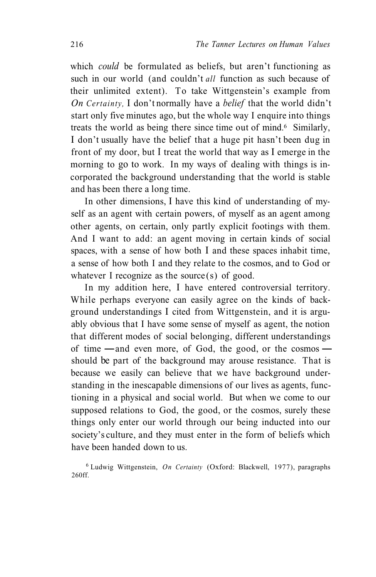which *could* be formulated as beliefs, but aren't functioning as such in our world (and couldn't *all* function as such because of their unlimited extent). To take Wittgenstein's example from *On Certainty,* I don't normally have a *belief* that the world didn't start only five minutes ago, but the whole way I enquire into things treats the world as being there since time out of mind.6 Similarly, I don't usually have the belief that a huge pit hasn't been dug in front of my door, but I treat the world that way as I emerge in the morning to go to work. In my ways of dealing with things is incorporated the background understanding that the world is stable and has been there a long time.

In other dimensions, I have this kind of understanding of myself as an agent with certain powers, of myself as an agent among other agents, on certain, only partly explicit footings with them. And I want to add: an agent moving in certain kinds of social spaces, with a sense of how both I and these spaces inhabit time, a sense of how both I and they relate to the cosmos, and to God or whatever I recognize as the source  $(s)$  of good.

In my addition here, I have entered controversial territory. While perhaps everyone can easily agree on the kinds of background understandings I cited from Wittgenstein, and it is arguably obvious that I have some sense of myself as agent, the notion that different modes of social belonging, different understandings ably obvious that I have some sense of myself as agent, the notion<br>that different modes of social belonging, different understandings<br>of time — and even more, of God, the good, or the cosmos —<br>shared be next of the hadronu should be part of the background may arouse resistance. That is because we easily can believe that we have background understanding in the inescapable dimensions of our lives as agents, functioning in a physical and social world. But when we come to our supposed relations to God, the good, or the cosmos, surely these things only enter our world through our being inducted into our society's culture, and they must enter in the form of beliefs which have been handed down to us.

6 Ludwig Wittgenstein, *On Certainty* (Oxford: Blackwell, 1977), paragraphs 260ff.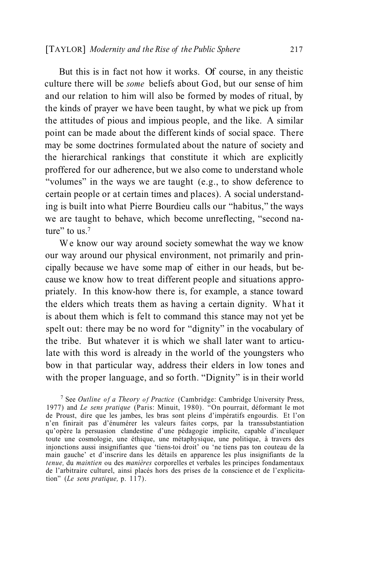But this is in fact not how it works. Of course, in any theistic culture there will be *some* beliefs about God, but our sense of him and our relation to him will also be formed by modes of ritual, by the kinds of prayer we have been taught, by what we pick up from the attitudes of pious and impious people, and the like. A similar point can be made about the different kinds of social space. There may be some doctrines formulated about the nature of society and the hierarchical rankings that constitute it which are explicitly proffered for our adherence, but we also come to understand whole "volumes" in the ways we are taught (e.g., to show deference to certain people or at certain times and places). A social understanding is built into what Pierre Bourdieu calls our "habitus," the ways we are taught to behave, which become unreflecting, "second nature" to us. $7$ 

We know our way around society somewhat the way we know our way around our physical environment, not primarily and principally because we have some map of either in our heads, but because we know how to treat different people and situations appropriately. In this know-how there is, for example, a stance toward the elders which treats them as having a certain dignity. What it is about them which is felt to command this stance may not yet be spelt out: there may be no word for "dignity" in the vocabulary of the tribe. But whatever it is which we shall later want to articulate with this word is already in the world of the youngsters who bow in that particular way, address their elders in low tones and with the proper language, and so forth. "Dignity" is in their world

<sup>7</sup> See *Outline of a Theory of Practice* (Cambridge: Cambridge University Press, 1977) and *Le sens pratique* (Paris: Minuit, 1980). "On pourrait, déformant le mot de Proust, dire que les jambes, les bras sont pleins d'impératifs engourdis. Et l'on n'en finirait pas d'énumérer les valeurs faites corps, par la transsubstantiation qu'opère la persuasion clandestine d'une pédagogie implicite, capable d'inculquer toute une cosmologie, une éthique, une métaphysique, une politique, à travers des injonctions aussi insignifiantes que 'tiens-toi droit' ou 'ne tiens pas ton couteau de la main gauche' et d'inscrire dans les détails en apparence les plus insignifiants de la *tenue,* du *maintien* ou des *manières* corporelles et verbales les principes fondamentaux de l'arbitraire culturel, ainsi placés hors des prises de la conscience et de l'explicitation" (*Le sens pratique,* p. 117).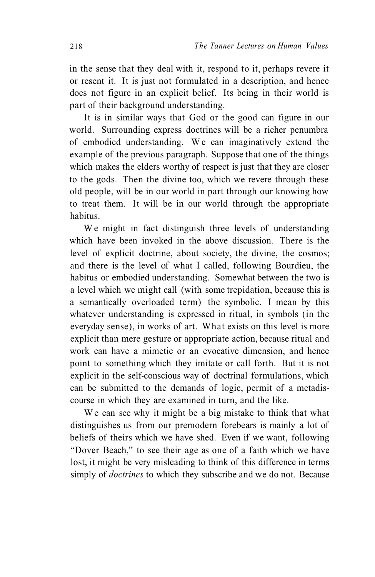in the sense that they deal with it, respond to it, perhaps revere it or resent it. It is just not formulated in a description, and hence does not figure in an explicit belief. Its being in their world is part of their background understanding.

It is in similar ways that God or the good can figure in our world. Surrounding express doctrines will be a richer penumbra of embodied understanding. We can imaginatively extend the example of the previous paragraph. Suppose that one of the things which makes the elders worthy of respect is just that they are closer to the gods. Then the divine too, which we revere through these old people, will be in our world in part through our knowing how to treat them. It will be in our world through the appropriate habitus.

We might in fact distinguish three levels of understanding which have been invoked in the above discussion. There is the level of explicit doctrine, about society, the divine, the cosmos; and there is the level of what I called, following Bourdieu, the habitus or embodied understanding. Somewhat between the two is a level which we might call (with some trepidation, because this is a semantically overloaded term) the symbolic. I mean by this whatever understanding is expressed in ritual, in symbols (in the everyday sense), in works of art. What exists on this level is more explicit than mere gesture or appropriate action, because ritual and work can have a mimetic or an evocative dimension, and hence point to something which they imitate or call forth. But it is not explicit in the self-conscious way of doctrinal formulations, which can be submitted to the demands of logic, permit of a metadiscourse in which they are examined in turn, and the like.

We can see why it might be a big mistake to think that what distinguishes us from our premodern forebears is mainly a lot of beliefs of theirs which we have shed. Even if we want, following "Dover Beach," to see their age as one of a faith which we have lost, it might be very misleading to think of this difference in terms simply of *doctrines* to which they subscribe and we do not. Because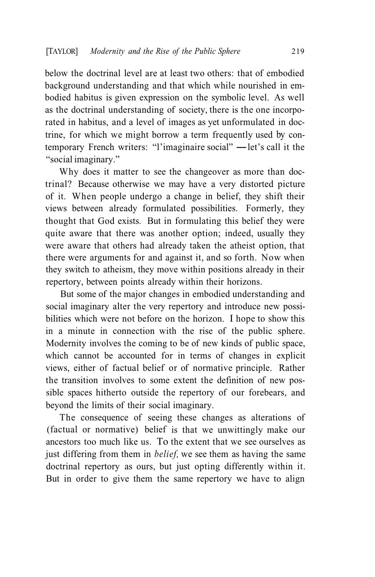below the doctrinal level are at least two others: that of embodied background understanding and that which while nourished in embodied habitus is given expression on the symbolic level. As well as the doctrinal understanding of society, there is the one incorporated in habitus, and a level of images as yet unformulated in doctrine, for which we might borrow a term frequently used by contemporary French writers: "l'imaginaire social" — let's call it the "social imaginary."

Why does it matter to see the changeover as more than doctrinal? Because otherwise we may have a very distorted picture of it. When people undergo a change in belief, they shift their views between already formulated possibilities. Formerly, they thought that God exists. But in formulating this belief they were quite aware that there was another option; indeed, usually they were aware that others had already taken the atheist option, that there were arguments for and against it, and so forth. Now when they switch to atheism, they move within positions already in their repertory, between points already within their horizons.

But some of the major changes in embodied understanding and social imaginary alter the very repertory and introduce new possibilities which were not before on the horizon. I hope to show this in a minute in connection with the rise of the public sphere. Modernity involves the coming to be of new kinds of public space, which cannot be accounted for in terms of changes in explicit views, either of factual belief or of normative principle. Rather the transition involves to some extent the definition of new possible spaces hitherto outside the repertory of our forebears, and beyond the limits of their social imaginary.

The consequence of seeing these changes as alterations of (factual or normative) belief is that we unwittingly make our ancestors too much like us. To the extent that we see ourselves as just differing from them in *belief,* we see them as having the same doctrinal repertory as ours, but just opting differently within it. But in order to give them the same repertory we have to align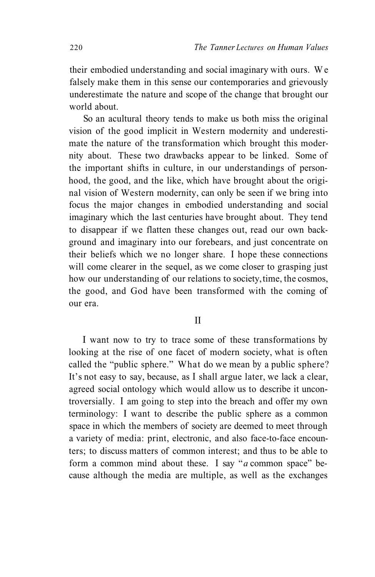their embodied understanding and social imaginary with ours. We falsely make them in this sense our contemporaries and grievously underestimate the nature and scope of the change that brought our world about.

So an acultural theory tends to make us both miss the original vision of the good implicit in Western modernity and underestimate the nature of the transformation which brought this modernity about. These two drawbacks appear to be linked. Some of the important shifts in culture, in our understandings of personhood, the good, and the like, which have brought about the original vision of Western modernity, can only be seen if we bring into focus the major changes in embodied understanding and social imaginary which the last centuries have brought about. They tend to disappear if we flatten these changes out, read our own background and imaginary into our forebears, and just concentrate on their beliefs which we no longer share. I hope these connections will come clearer in the sequel, as we come closer to grasping just how our understanding of our relations to society, time, the cosmos, the good, and God have been transformed with the coming of our era.

## II

I want now to try to trace some of these transformations by looking at the rise of one facet of modern society, what is often called the "public sphere." What do we mean by a public sphere? It's not easy to say, because, as I shall argue later, we lack a clear, agreed social ontology which would allow us to describe it uncontroversially. I am going to step into the breach and offer my own terminology: I want to describe the public sphere as a common space in which the members of society are deemed to meet through a variety of media: print, electronic, and also face-to-face encounters; to discuss matters of common interest; and thus to be able to form a common mind about these. I say "*a* common space" because although the media are multiple, as well as the exchanges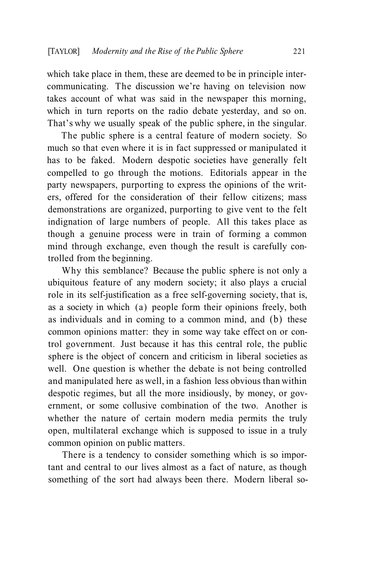which take place in them, these are deemed to be in principle intercommunicating. The discussion we're having on television now takes account of what was said in the newspaper this morning, which in turn reports on the radio debate yesterday, and so on. That's why we usually speak of the public sphere, in the singular.

The public sphere is a central feature of modern society. So much so that even where it is in fact suppressed or manipulated it has to be faked. Modern despotic societies have generally felt compelled to go through the motions. Editorials appear in the party newspapers, purporting to express the opinions of the writers, offered for the consideration of their fellow citizens; mass demonstrations are organized, purporting to give vent to the felt indignation of large numbers of people. All this takes place as though a genuine process were in train of forming a common mind through exchange, even though the result is carefully controlled from the beginning.

Why this semblance? Because the public sphere is not only a ubiquitous feature of any modern society; it also plays a crucial role in its self-justification as a free self-governing society, that is, as a society in which (a) people form their opinions freely, both as individuals and in coming to a common mind, and (b) these common opinions matter: they in some way take effect on or control government. Just because it has this central role, the public sphere is the object of concern and criticism in liberal societies as well. One question is whether the debate is not being controlled and manipulated here as well, in a fashion less obvious than within despotic regimes, but all the more insidiously, by money, or government, or some collusive combination of the two. Another is whether the nature of certain modern media permits the truly open, multilateral exchange which is supposed to issue in a truly common opinion on public matters.

There is a tendency to consider something which is so important and central to our lives almost as a fact of nature, as though something of the sort had always been there. Modern liberal so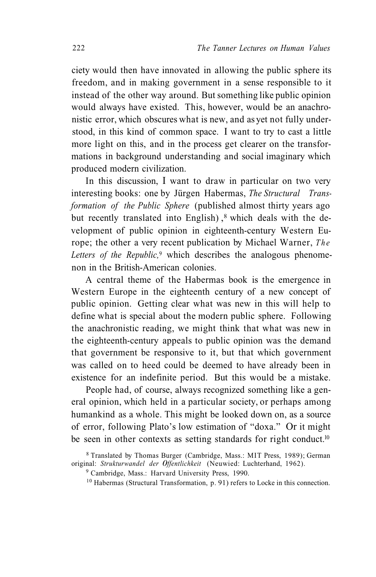ciety would then have innovated in allowing the public sphere its freedom, and in making government in a sense responsible to it instead of the other way around. But something like public opinion would always have existed. This, however, would be an anachronistic error, which obscures what is new, and as yet not fully understood, in this kind of common space. I want to try to cast a little more light on this, and in the process get clearer on the transformations in background understanding and social imaginary which produced modern civilization.

In this discussion, I want to draw in particular on two very interesting books: one by Jürgen Habermas, *The Structural Transformation of the Public Sphere* (published almost thirty years ago but recently translated into English),<sup>8</sup> which deals with the development of public opinion in eighteenth-century Western Europe; the other a very recent publication by Michael Warner, *The Letters of the Republic,*<sup>9</sup> which describes the analogous phenomenon in the British-American colonies.

A central theme of the Habermas book is the emergence in Western Europe in the eighteenth century of a new concept of public opinion. Getting clear what was new in this will help to define what is special about the modern public sphere. Following the anachronistic reading, we might think that what was new in the eighteenth-century appeals to public opinion was the demand that government be responsive to it, but that which government was called on to heed could be deemed to have already been in existence for an indefinite period. But this would be a mistake.

People had, of course, always recognized something like a general opinion, which held in a particular society, or perhaps among humankind as a whole. This might be looked down on, as a source of error, following Plato's low estimation of "doxa." Or it might be seen in other contexts as setting standards for right conduct.<sup>10</sup>

<sup>8</sup> Translated by Thomas Burger (Cambridge, Mass.: MIT Press, 1989); German original: Strukturwandel der Offentlichkeit (Neuwied: Luchterhand, 1962).

<sup>&</sup>lt;sup>9</sup> Cambridge, Mass.: Harvard University Press, 1990.<br><sup>10</sup> Habermas (Structural Transformation, p. 91) refers to Locke in this connection.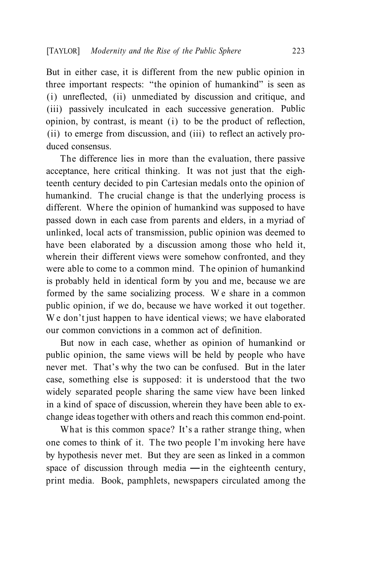But in either case, it is different from the new public opinion in three important respects: "the opinion of humankind" is seen as (i) unreflected, (ii) unmediated by discussion and critique, and (iii) passively inculcated in each successive generation. Public opinion, by contrast, is meant (i) to be the product of reflection, (ii) to emerge from discussion, and (iii) to reflect an actively produced consensus.

The difference lies in more than the evaluation, there passive acceptance, here critical thinking. It was not just that the eighteenth century decided to pin Cartesian medals onto the opinion of humankind. The crucial change is that the underlying process is different. Where the opinion of humankind was supposed to have passed down in each case from parents and elders, in a myriad of unlinked, local acts of transmission, public opinion was deemed to have been elaborated by a discussion among those who held it, wherein their different views were somehow confronted, and they were able to come to a common mind. The opinion of humankind is probably held in identical form by you and me, because we are formed by the same socializing process. We share in a common public opinion, if we do, because we have worked it out together. We don't just happen to have identical views; we have elaborated our common convictions in a common act of definition.

But now in each case, whether as opinion of humankind or public opinion, the same views will be held by people who have never met. That's why the two can be confused. But in the later case, something else is supposed: it is understood that the two widely separated people sharing the same view have been linked in a kind of space of discussion, wherein they have been able to exchange ideas together with others and reach this common end-point.

What is this common space? It's a rather strange thing, when one comes to think of it. The two people I'm invoking here have by hypothesis never met. But they are seen as linked in a common one comes to think of it. The two people I in invoking here have<br>by hypothesis never met. But they are seen as linked in a common<br>space of discussion through media — in the eighteenth century, print media. Book, pamphlets, newspapers circulated among the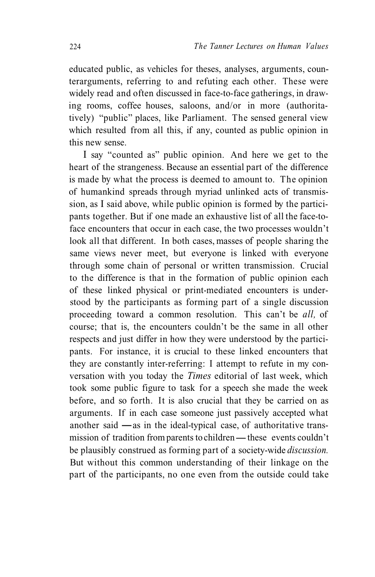educated public, as vehicles for theses, analyses, arguments, counterarguments, referring to and refuting each other. These were widely read and often discussed in face-to-face gatherings, in drawing rooms, coffee houses, saloons, and/or in more (authoritatively) "public" places, like Parliament. The sensed general view which resulted from all this, if any, counted as public opinion in this new sense.

I say "counted as" public opinion. And here we get to the heart of the strangeness. Because an essential part of the difference is made by what the process is deemed to amount to. The opinion of humankind spreads through myriad unlinked acts of transmission, as I said above, while public opinion is formed by the participants together. But if one made an exhaustive list of all the face-toface encounters that occur in each case, the two processes wouldn't look all that different. In both cases, masses of people sharing the same views never meet, but everyone is linked with everyone through some chain of personal or written transmission. Crucial to the difference is that in the formation of public opinion each of these linked physical or print-mediated encounters is understood by the participants as forming part of a single discussion proceeding toward a common resolution. This can't be *all,* of course; that is, the encounters couldn't be the same in all other respects and just differ in how they were understood by the participants. For instance, it is crucial to these linked encounters that they are constantly inter-referring: I attempt to refute in my conversation with you today the *Times* editorial of last week, which took some public figure to task for a speech she made the week before, and so forth. It is also crucial that they be carried on as arguments. If in each case someone just passively accepted what before, and so forth. It is also crucial that they be carried on as<br>arguments. If in each case someone just passively accepted what<br>another said —as in the ideal-typical case, of authoritative trans-<br>mission of the lition another said —as in the ideal-typical case, of authoritative transmission of tradition from parents to children—these events couldn't be plausibly construed as forming part of a society-wide *discussion.*  But without this common understanding of their linkage on the part of the participants, no one even from the outside could take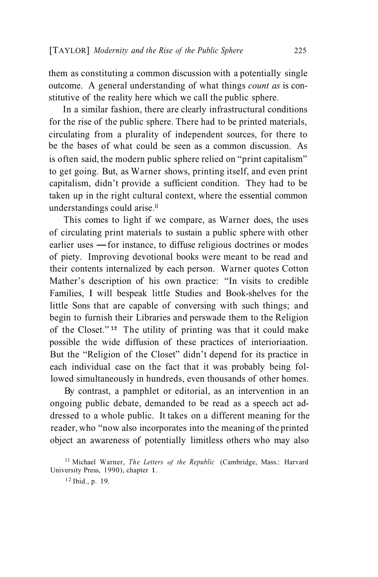them as constituting a common discussion with a potentially single outcome. A general understanding of what things *count as* is constitutive of the reality here which we call the public sphere.

In a similar fashion, there are clearly infrastructural conditions for the rise of the public sphere. There had to be printed materials, circulating from a plurality of independent sources, for there to be the bases of what could be seen as a common discussion. As is often said, the modern public sphere relied on "print capitalism" to get going. But, as Warner shows, printing itself, and even print capitalism, didn't provide a sufficient condition. They had to be taken up in the right cultural context, where the essential common understandings could arise.<sup>ll</sup>

This comes to light if we compare, as Warner does, the uses of circulating print materials to sustain a public sphere with other I his comes to light if we compare, as warner does, the uses<br>of circulating print materials to sustain a public sphere with other<br>earlier uses — for instance, to diffuse religious doctrines or modes of piety. Improving devotional books were meant to be read and their contents internalized by each person. Warner quotes Cotton Mather's description of his own practice: "In visits to credible Families, I will bespeak little Studies and Book-shelves for the little Sons that are capable of conversing with such things; and begin to furnish their Libraries and perswade them to the Religion of the Closet."<sup>12</sup> The utility of printing was that it could make possible the wide diffusion of these practices of interioriaation. But the "Religion of the Closet" didn't depend for its practice in each individual case on the fact that it was probably being followed simultaneously in hundreds, even thousands of other homes.

By contrast, a pamphlet or editorial, as an intervention in an ongoing public debate, demanded to be read as a speech act addressed to a whole public. It takes on a different meaning for the reader, who "now also incorporates into the meaning of the printed object an awareness of potentially limitless others who may also

<sup>11</sup> Michael Warner, *The Letters of the Republic* (Cambridge, Mass.: Harvard University Press, 1990), chapter 1.

 $12$  Ibid., p. 19.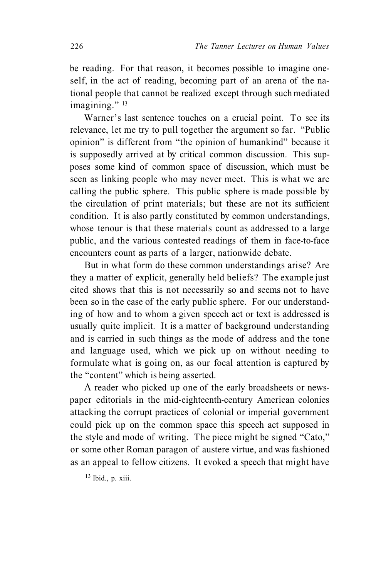be reading. For that reason, it becomes possible to imagine oneself, in the act of reading, becoming part of an arena of the national people that cannot be realized except through such mediated imagining."<sup>13</sup>

Warner's last sentence touches on a crucial point. To see its relevance, let me try to pull together the argument so far. "Public opinion" is different from "the opinion of humankind" because it is supposedly arrived at by critical common discussion. This supposes some kind of common space of discussion, which must be seen as linking people who may never meet. This is what we are calling the public sphere. This public sphere is made possible by the circulation of print materials; but these are not its sufficient condition. It is also partly constituted by common understandings, whose tenour is that these materials count as addressed to a large public, and the various contested readings of them in face-to-face encounters count as parts of a larger, nationwide debate.

But in what form do these common understandings arise? Are they a matter of explicit, generally held beliefs? The example just cited shows that this is not necessarily so and seems not to have been so in the case of the early public sphere. For our understanding of how and to whom a given speech act or text is addressed is usually quite implicit. It is a matter of background understanding and is carried in such things as the mode of address and the tone and language used, which we pick up on without needing to formulate what is going on, as our focal attention is captured by the "content" which is being asserted.

A reader who picked up one of the early broadsheets or newspaper editorials in the mid-eighteenth-century American colonies attacking the corrupt practices of colonial or imperial government could pick up on the common space this speech act supposed in the style and mode of writing. The piece might be signed "Cato," or some other Roman paragon of austere virtue, and was fashioned as an appeal to fellow citizens. It evoked a speech that might have

<sup>13</sup> Ibid., p. xiii.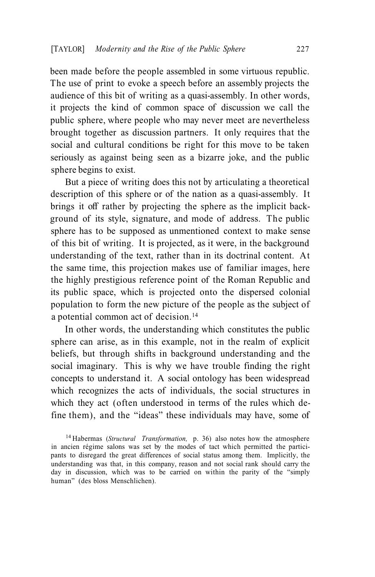been made before the people assembled in some virtuous republic. The use of print to evoke a speech before an assembly projects the audience of this bit of writing as a quasi-assembly. In other words, it projects the kind of common space of discussion we call the public sphere, where people who may never meet are nevertheless brought together as discussion partners. It only requires that the social and cultural conditions be right for this move to be taken seriously as against being seen as a bizarre joke, and the public sphere begins to exist.

But a piece of writing does this not by articulating a theoretical description of this sphere or of the nation as a quasi-assembly. It brings it off rather by projecting the sphere as the implicit background of its style, signature, and mode of address. The public sphere has to be supposed as unmentioned context to make sense of this bit of writing. It is projected, as it were, in the background understanding of the text, rather than in its doctrinal content. At the same time, this projection makes use of familiar images, here the highly prestigious reference point of the Roman Republic and its public space, which is projected onto the dispersed colonial population to form the new picture of the people as the subject of a potential common act of decision.14

In other words, the understanding which constitutes the public sphere can arise, as in this example, not in the realm of explicit beliefs, but through shifts in background understanding and the social imaginary. This is why we have trouble finding the right concepts to understand it. A social ontology has been widespread which recognizes the acts of individuals, the social structures in which they act (often understood in terms of the rules which define them), and the "ideas" these individuals may have, some of

<sup>14</sup> Habermas (*Structural Transformation,* p. 36) also notes how the atmosphere in ancien régime salons was set by the modes of tact which permitted the participants to disregard the great differences of social status among them. Implicitly, the understanding was that, in this company, reason and not social rank should carry the day in discussion, which was to be carried on within the parity of the "simply human" (des bloss Menschlichen).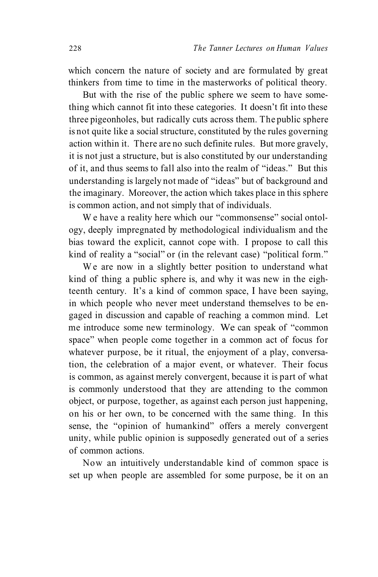which concern the nature of society and are formulated by great thinkers from time to time in the masterworks of political theory.

But with the rise of the public sphere we seem to have something which cannot fit into these categories. It doesn't fit into these three pigeonholes, but radically cuts across them. The public sphere is not quite like a social structure, constituted by the rules governing action within it. There are no such definite rules. But more gravely, it is not just a structure, but is also constituted by our understanding of it, and thus seems to fall also into the realm of "ideas." But this understanding is largely not made of "ideas" but of background and the imaginary. Moreover, the action which takes place in this sphere is common action, and not simply that of individuals.

We have a reality here which our "commonsense" social ontology, deeply impregnated by methodological individualism and the bias toward the explicit, cannot cope with. I propose to call this kind of reality a "social" or (in the relevant case) "political form."

We are now in a slightly better position to understand what kind of thing a public sphere is, and why it was new in the eighteenth century. It's a kind of common space, I have been saying, in which people who never meet understand themselves to be engaged in discussion and capable of reaching a common mind. Let me introduce some new terminology. We can speak of "common space" when people come together in a common act of focus for whatever purpose, be it ritual, the enjoyment of a play, conversation, the celebration of a major event, or whatever. Their focus is common, as against merely convergent, because it is part of what is commonly understood that they are attending to the common object, or purpose, together, as against each person just happening, on his or her own, to be concerned with the same thing. In this sense, the "opinion of humankind" offers a merely convergent unity, while public opinion is supposedly generated out of a series of common actions.

Now an intuitively understandable kind of common space is set up when people are assembled for some purpose, be it on an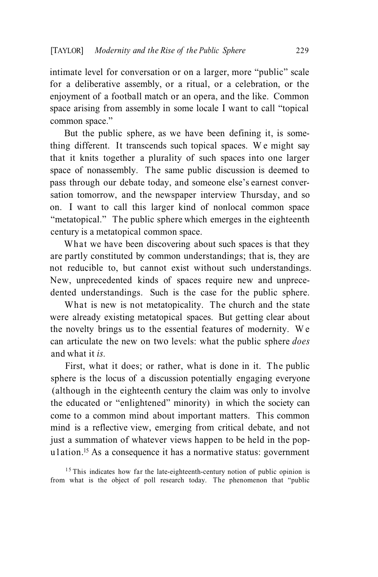intimate level for conversation or on a larger, more "public" scale for a deliberative assembly, or a ritual, or a celebration, or the enjoyment of a football match or an opera, and the like. Common space arising from assembly in some locale I want to call "topical common space."

But the public sphere, as we have been defining it, is something different. It transcends such topical spaces. We might say that it knits together a plurality of such spaces into one larger space of nonassembly. The same public discussion is deemed to pass through our debate today, and someone else's earnest conversation tomorrow, and the newspaper interview Thursday, and so on. I want to call this larger kind of nonlocal common space "metatopical." The public sphere which emerges in the eighteenth century is a metatopical common space.

What we have been discovering about such spaces is that they are partly constituted by common understandings; that is, they are not reducible to, but cannot exist without such understandings. New, unprecedented kinds of spaces require new and unprecedented understandings. Such is the case for the public sphere.

What is new is not metatopicality. The church and the state were already existing metatopical spaces. But getting clear about the novelty brings us to the essential features of modernity. We can articulate the new on two levels: what the public sphere *does*  and what it *is.* 

First, what it does; or rather, what is done in it. The public sphere is the locus of a discussion potentially engaging everyone (although in the eighteenth century the claim was only to involve the educated or "enlightened" minority) in which the society can come to a common mind about important matters. This common mind is a reflective view, emerging from critical debate, and not just a summation of whatever views happen to be held in the popu1ation.<sup>15</sup> As a consequence it has a normative status: government

<sup>15</sup> This indicates how far the late-eighteenth-century notion of public opinion is from what is the object of poll research today. The phenomenon that "public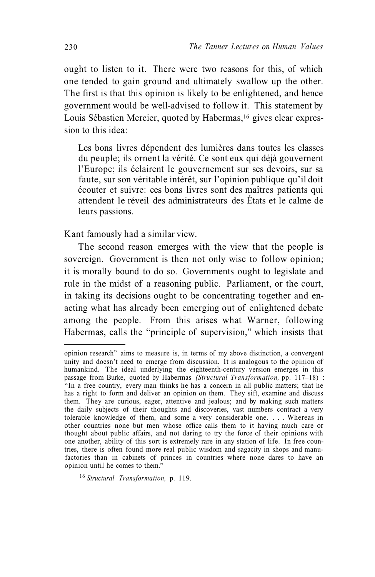ought to listen to it. There were two reasons for this, of which one tended to gain ground and ultimately swallow up the other. The first is that this opinion is likely to be enlightened, and hence government would be well-advised to follow it. This statement by Louis Sébastien Mercier, quoted by Habermas,<sup>16</sup> gives clear expression to this idea:

Les bons livres dépendent des lumières dans toutes les classes du peuple; ils ornent la vérité. Ce sont eux qui déjà gouvernent l'Europe; ils éclairent le gouvernement sur ses devoirs, sur sa faute, sur son véritable intérêt, sur l'opinion publique qu'il doit écouter et suivre: ces bons livres sont des maîtres patients qui attendent le réveil des administrateurs des États et le calme de leurs passions.

Kant famously had a similar view.

The second reason emerges with the view that the people is sovereign. Government is then not only wise to follow opinion; it is morally bound to do so. Governments ought to legislate and rule in the midst of a reasoning public. Parliament, or the court, in taking its decisions ought to be concentrating together and enacting what has already been emerging out of enlightened debate among the people. From this arises what Warner, following Habermas, calls the "principle of supervision," which insists that

opinion research" aims to measure is, in terms of my above distinction, a convergent unity and doesn't need to emerge from discussion. It is analogous to the opinion of humankind. The ideal underlying the eighteenth-century version emerges in this passage from Burke, quoted by Habermas *(Structural Transformation,* pp. 117–18) : "In a free country, every man thinks he has a concern in all public matters; that he has a right to form and deliver an opinion on them. They sift, examine and discuss them. They are curious, eager, attentive and jealous; and by making such matters the daily subjects of their thoughts and discoveries, vast numbers contract a very tolerable knowledge of them, and some a very considerable one. . . . Whereas in other countries none but men whose office calls them to it having much care or thought about public affairs, and not daring to try the force of their opinions with one another, ability of this sort is extremely rare in any station of life. In free countries, there is often found more real public wisdom and sagacity in shops and manufactories than in cabinets of princes in countries where none dares to have an opinion until he comes to them."

<sup>16</sup> *Structural Transformation,* p. 119.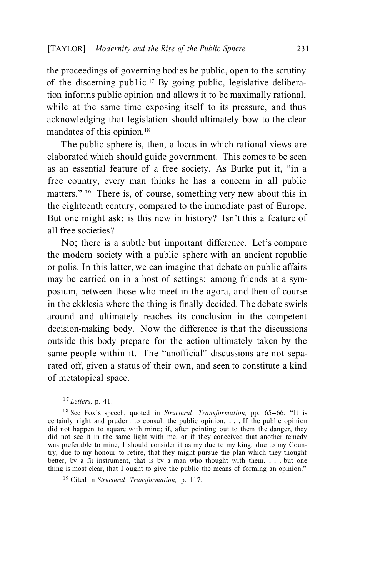the proceedings of governing bodies be public, open to the scrutiny of the discerning public.<sup>17</sup> By going public, legislative deliberation informs public opinion and allows it to be maximally rational, while at the same time exposing itself to its pressure, and thus acknowledging that legislation should ultimately bow to the clear mandates of this opinion.<sup>18</sup>

The public sphere is, then, a locus in which rational views are elaborated which should guide government. This comes to be seen as an essential feature of a free society. As Burke put it, "in a free country, every man thinks he has a concern in all public matters." <sup>19</sup> There is, of course, something very new about this in the eighteenth century, compared to the immediate past of Europe. But one might ask: is this new in history? Isn't this a feature of all free societies ?

No; there is a subtle but important difference. Let's compare the modern society with a public sphere with an ancient republic or polis. In this latter, we can imagine that debate on public affairs may be carried on in a host of settings: among friends at a symposium, between those who meet in the agora, and then of course in the ekklesia where the thing is finally decided. The debate swirls around and ultimately reaches its conclusion in the competent decision-making body. Now the difference is that the discussions outside this body prepare for the action ultimately taken by the same people within it. The "unofficial" discussions are not separated off, given a status of their own, and seen to constitute a kind of metatopical space.

<sup>18</sup> See Fox's speech, quoted in *Structural Transformation,* pp. 65-66: "It is certainly right and prudent to consult the public opinion. . . . If the public opinion did not happen to square with mine; if, after pointing out to them the danger, they did not see it in the same light with me, or if they conceived that another remedy was preferable to mine, I should consider it as my due to my king, due to my Country, due to my honour to retire, that they might pursue the plan which they thought better, by a fit instrument, that is by a man who thought with them. . . . but one thing is most clear, that I ought to give the public the means of forming an opinion."

<sup>19</sup> Cited in *Structural Transformation,* p. 117.

<sup>1 7</sup> *Letters,* p. 41.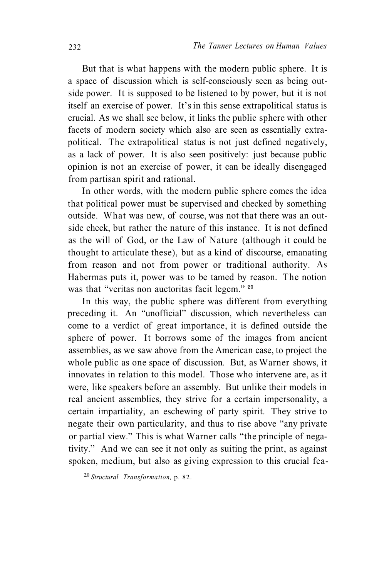But that is what happens with the modern public sphere. It is a space of discussion which is self-consciously seen as being outside power. It is supposed to be listened to by power, but it is not itself an exercise of power. It's in this sense extrapolitical status is crucial. As we shall see below, it links the public sphere with other facets of modern society which also are seen as essentially extrapolitical. The extrapolitical status is not just defined negatively, as a lack of power. It is also seen positively: just because public opinion is not an exercise of power, it can be ideally disengaged from partisan spirit and rational.

In other words, with the modern public sphere comes the idea that political power must be supervised and checked by something outside. What was new, of course, was not that there was an outside check, but rather the nature of this instance. It is not defined as the will of God, or the Law of Nature (although it could be thought to articulate these), but as a kind of discourse, emanating from reason and not from power or traditional authority. As Habermas puts it, power was to be tamed by reason. The notion was that "veritas non auctoritas facit legem." <sup>20</sup>

In this way, the public sphere was different from everything preceding it. An "unofficial" discussion, which nevertheless can come to a verdict of great importance, it is defined outside the sphere of power. It borrows some of the images from ancient assemblies, as we saw above from the American case, to project the whole public as one space of discussion. But, as Warner shows, it innovates in relation to this model. Those who intervene are, as it were, like speakers before an assembly. But unlike their models in real ancient assemblies, they strive for a certain impersonality, a certain impartiality, an eschewing of party spirit. They strive to negate their own particularity, and thus to rise above "any private or partial view." This is what Warner calls "the principle of negativity." And we can see it not only as suiting the print, as against spoken, medium, but also as giving expression to this crucial fea-

2.0 *Structural Transformation,* p. 82.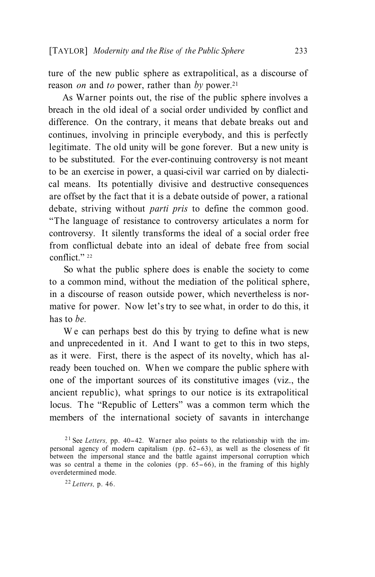ture of the new public sphere as extrapolitical, as a discourse of reason *on* and *to* power, rather than *by* power.21

As Warner points out, the rise of the public sphere involves a breach in the old ideal of a social order undivided by conflict and difference. On the contrary, it means that debate breaks out and continues, involving in principle everybody, and this is perfectly legitimate. The old unity will be gone forever. But a new unity is to be substituted. For the ever-continuing controversy is not meant to be an exercise in power, a quasi-civil war carried on by dialectical means. Its potentially divisive and destructive consequences are offset by the fact that it is a debate outside of power, a rational debate, striving without *parti pris* to define the common good. "The language of resistance to controversy articulates a norm for controversy. It silently transforms the ideal of a social order free from conflictual debate into an ideal of debate free from social conflict<sup>"</sup> <sup>22</sup>

So what the public sphere does is enable the society to come to a common mind, without the mediation of the political sphere, in a discourse of reason outside power, which nevertheless is normative for power. Now let's try to see what, in order to do this, it has to *be.* 

We can perhaps best do this by trying to define what is new and unprecedented in it. And I want to get to this in two steps, as it were. First, there is the aspect of its novelty, which has already been touched on. When we compare the public sphere with one of the important sources of its constitutive images (viz., the ancient republic), what springs to our notice is its extrapolitical locus. The "Republic of Letters" was a common term which the members of the international society of savants in interchange

<sup>22</sup> *Letters,* p. 46.

<sup>&</sup>lt;sup>21</sup> See *Letters*, pp. 40-42. Warner also points to the relationship with the impersonal agency of modern capitalism (pp. 62-63), as well as the closeness of fit between the impersonal stance and the battle against impersonal corruption which was so central a theme in the colonies (pp.  $65-66$ ), in the framing of this highly overdetermined mode.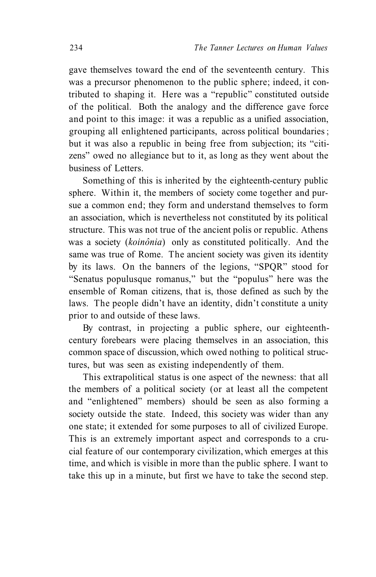gave themselves toward the end of the seventeenth century. This was a precursor phenomenon to the public sphere; indeed, it contributed to shaping it. Here was a "republic" constituted outside of the political. Both the analogy and the difference gave force and point to this image: it was a republic as a unified association, grouping all enlightened participants, across political boundaries ; but it was also a republic in being free from subjection; its "citizens" owed no allegiance but to it, as long as they went about the business of Letters.

Something of this is inherited by the eighteenth-century public sphere. Within it, the members of society come together and pursue a common end; they form and understand themselves to form an association, which is nevertheless not constituted by its political structure. This was not true of the ancient polis or republic. Athens was a society (*koinônia*) only as constituted politically. And the same was true of Rome. The ancient society was given its identity by its laws. On the banners of the legions, "SPQR" stood for "Senatus populusque romanus," but the "populus" here was the ensemble of Roman citizens, that is, those defined as such by the laws. The people didn't have an identity, didn't constitute a unity prior to and outside of these laws.

By contrast, in projecting a public sphere, our eighteenthcentury forebears were placing themselves in an association, this common space of discussion, which owed nothing to political structures, but was seen as existing independently of them.

This extrapolitical status is one aspect of the newness: that all the members of a political society (or at least all the competent and "enlightened" members) should be seen as also forming a society outside the state. Indeed, this society was wider than any one state; it extended for some purposes to all of civilized Europe. This is an extremely important aspect and corresponds to a crucial feature of our contemporary civilization, which emerges at this time, and which is visible in more than the public sphere. I want to take this up in a minute, but first we have to take the second step.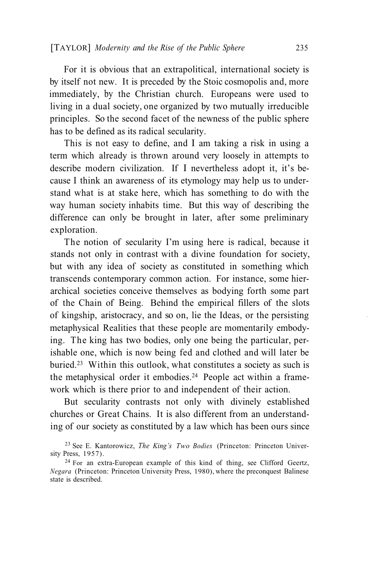For it is obvious that an extrapolitical, international society is by itself not new. It is preceded by the Stoic cosmopolis and, more immediately, by the Christian church. Europeans were used to living in a dual society, one organized by two mutually irreducible principles. So the second facet of the newness of the public sphere has to be defined as its radical secularity.

This is not easy to define, and I am taking a risk in using a term which already is thrown around very loosely in attempts to describe modern civilization. If I nevertheless adopt it, it's because I think an awareness of its etymology may help us to understand what is at stake here, which has something to do with the way human society inhabits time. But this way of describing the difference can only be brought in later, after some preliminary exploration.

The notion of secularity I'm using here is radical, because it stands not only in contrast with a divine foundation for society, but with any idea of society as constituted in something which transcends contemporary common action. For instance, some hierarchical societies conceive themselves as bodying forth some part of the Chain of Being. Behind the empirical fillers of the slots of kingship, aristocracy, and so on, lie the Ideas, or the persisting metaphysical Realities that these people are momentarily embodying. The king has two bodies, only one being the particular, perishable one, which is now being fed and clothed and will later be buried.23 Within this outlook, what constitutes a society as such is the metaphysical order it embodies.24 People act within a framework which is there prior to and independent of their action.

But secularity contrasts not only with divinely established churches or Great Chains. It is also different from an understanding of our society as constituted by a law which has been ours since

<sup>23</sup> See E. Kantorowicz, *The King's Two Bodies* (Princeton: Princeton University Press, 1957).<br><sup>24</sup> For an extra-European example of this kind of thing, see Clifford Geertz,

*Negara* (Princeton: Princeton University Press, 1980), where the preconquest Balinese state is described.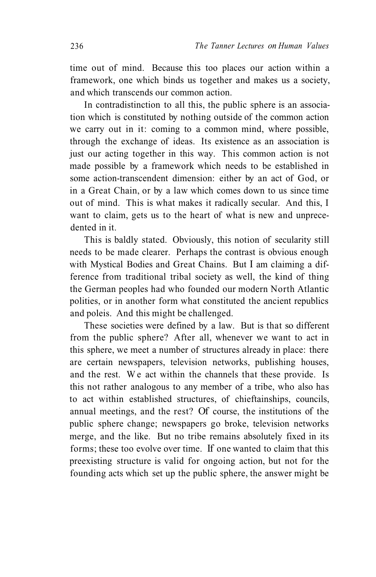time out of mind. Because this too places our action within a framework, one which binds us together and makes us a society, and which transcends our common action.

In contradistinction to all this, the public sphere is an association which is constituted by nothing outside of the common action we carry out in it: coming to a common mind, where possible, through the exchange of ideas. Its existence as an association is just our acting together in this way. This common action is not made possible by a framework which needs to be established in some action-transcendent dimension: either by an act of God, or in a Great Chain, or by a law which comes down to us since time out of mind. This is what makes it radically secular. And this, I want to claim, gets us to the heart of what is new and unprecedented in it.

This is baldly stated. Obviously, this notion of secularity still needs to be made clearer. Perhaps the contrast is obvious enough with Mystical Bodies and Great Chains. But I am claiming a difference from traditional tribal society as well, the kind of thing the German peoples had who founded our modern North Atlantic polities, or in another form what constituted the ancient republics and poleis. And this might be challenged.

These societies were defined by a law. But is that so different from the public sphere? After all, whenever we want to act in this sphere, we meet a number of structures already in place: there are certain newspapers, television networks, publishing houses, and the rest. We act within the channels that these provide. Is this not rather analogous to any member of a tribe, who also has to act within established structures, of chieftainships, councils, annual meetings, and the rest? Of course, the institutions of the public sphere change; newspapers go broke, television networks merge, and the like. But no tribe remains absolutely fixed in its forms; these too evolve over time. If one wanted to claim that this preexisting structure is valid for ongoing action, but not for the founding acts which set up the public sphere, the answer might be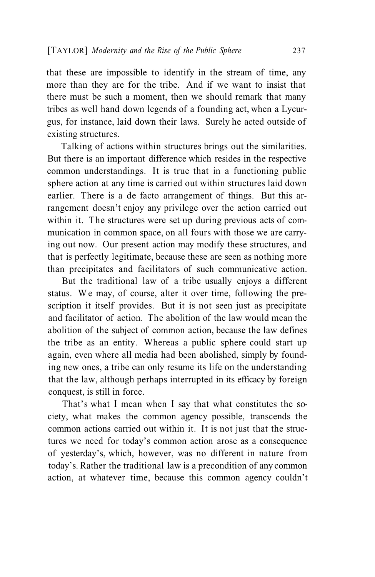that these are impossible to identify in the stream of time, any more than they are for the tribe. And if we want to insist that there must be such a moment, then we should remark that many tribes as well hand down legends of a founding act, when a Lycurgus, for instance, laid down their laws. Surely he acted outside of existing structures.

Talking of actions within structures brings out the similarities. But there is an important difference which resides in the respective common understandings. It is true that in a functioning public sphere action at any time is carried out within structures laid down earlier. There is a de facto arrangement of things. But this arrangement doesn't enjoy any privilege over the action carried out within it. The structures were set up during previous acts of communication in common space, on all fours with those we are carrying out now. Our present action may modify these structures, and that is perfectly legitimate, because these are seen as nothing more than precipitates and facilitators of such communicative action.

But the traditional law of a tribe usually enjoys a different status. We may, of course, alter it over time, following the prescription it itself provides. But it is not seen just as precipitate and facilitator of action. The abolition of the law would mean the abolition of the subject of common action, because the law defines the tribe as an entity. Whereas a public sphere could start up again, even where all media had been abolished, simply by founding new ones, a tribe can only resume its life on the understanding that the law, although perhaps interrupted in its efficacy by foreign conquest, is still in force.

That's what I mean when I say that what constitutes the society, what makes the common agency possible, transcends the common actions carried out within it. It is not just that the structures we need for today's common action arose as a consequence of yesterday's, which, however, was no different in nature from today's. Rather the traditional law is a precondition of any common action, at whatever time, because this common agency couldn't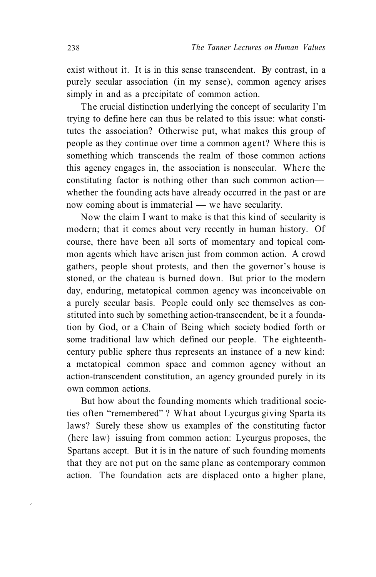exist without it. It is in this sense transcendent. By contrast, in a purely secular association (in my sense), common agency arises simply in and as a precipitate of common action.

The crucial distinction underlying the concept of secularity I'm trying to define here can thus be related to this issue: what constitutes the association? Otherwise put, what makes this group of people as they continue over time a common agent? Where this is something which transcends the realm of those common actions this agency engages in, the association is nonsecular. Where the constituting factor is nothing other than such common action whether the founding acts have already occurred in the past or are constituting factor is nothing other than such common<br>whether the founding acts have already occurred in the pow<br>now coming about is immaterial — we have secularity.<br>Now the claim I want to make is that this kind of a

Now the claim I want to make is that this kind of secularity is modern; that it comes about very recently in human history. Of course, there have been all sorts of momentary and topical common agents which have arisen just from common action. A crowd gathers, people shout protests, and then the governor's house is stoned, or the chateau is burned down. But prior to the modern day, enduring, metatopical common agency was inconceivable on a purely secular basis. People could only see themselves as constituted into such by something action-transcendent, be it a foundation by God, or a Chain of Being which society bodied forth or some traditional law which defined our people. The eighteenthcentury public sphere thus represents an instance of a new kind: a metatopical common space and common agency without an action-transcendent constitution, an agency grounded purely in its own common actions.

But how about the founding moments which traditional societies often "remembered" ? What about Lycurgus giving Sparta its laws? Surely these show us examples of the constituting factor (here law) issuing from common action: Lycurgus proposes, the Spartans accept. But it is in the nature of such founding moments that they are not put on the same plane as contemporary common action. The foundation acts are displaced onto a higher plane,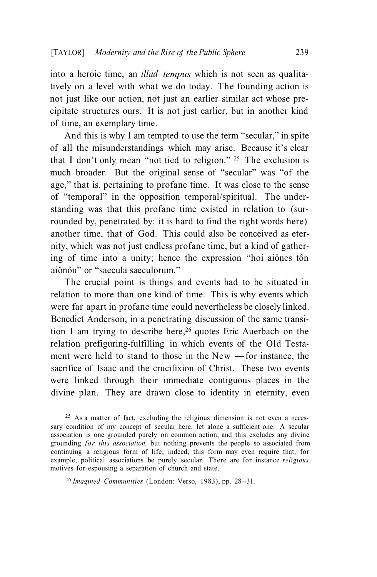into a heroic time, an *illud tempus* which is not seen as qualitatively on a level with what we do today. The founding action is not just like our action, not just an earlier similar act whose precipitate structures ours. It is not just earlier, but in another kind of time, an exemplary time.

And this is why I am tempted to use the term "secular," in spite of all the misunderstandings which may arise. Because it's clear that I don't only mean "not tied to religion." 25 The exclusion is much broader. But the original sense of "secular" was "of the age," that is, pertaining to profane time. It was close to the sense of "temporal" in the opposition temporal/spiritual. The understanding was that this profane time existed in relation to (surrounded by, penetrated by: it is hard to find the right words here) another time, that of God. This could also be conceived as eternity, which was not just endless profane time, but a kind of gathering of time into a unity; hence the expression "hoi aiônes tôn aiônôn" or "saecula saeculorum."

The crucial point is things and events had to be situated in relation to more than one kind of time. This is why events which were far apart in profane time could nevertheless be closely linked. Benedict Anderson, in a penetrating discussion of the same transition I am trying to describe here,<sup>26</sup> quotes Eric Auerbach on the relation prefiguring-fulfilling in which events of the Old Testament were held to stand to those in the New - for instance, the sacrifice of Isaac and the crucifixion of Christ. These two events were linked through their immediate contiguous places in the divine plan. They are drawn close to identity in eternity, even

 $25$  As a matter of fact, excluding the religious dimension is not even a necessary condition of my concept of secular here, let alone a sufficient one. A secular association is one grounded purely on common action, and this excludes any divine grounding *for this association,* but nothing prevents the people so associated from continuing a religious form of life; indeed, this form may even require that, for example, political associations be purely secular. There are for instance *religious*  motives for espousing a separation of church and state.

<sup>26</sup> *Imagined Communities* (London: Verso, 1983), pp. 28-31.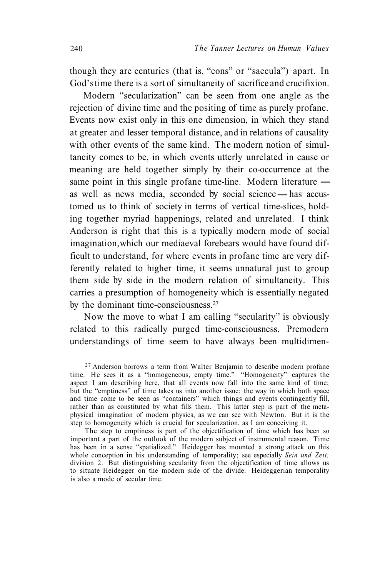though they are centuries (that is, "eons" or "saecula") apart. In God's time there is a sort of simultaneity of sacrifice and crucifixion.

Modern "secularization" can be seen from one angle as the rejection of divine time and the positing of time as purely profane. Events now exist only in this one dimension, in which they stand at greater and lesser temporal distance, and in relations of causality with other events of the same kind. The modern notion of simultaneity comes to be, in which events utterly unrelated in cause or meaning are held together simply by their co-occurrence at the Examely comes to be, in which events utterly unrelated in cause of<br>meaning are held together simply by their co-occurrence at the<br>same point in this single profane time-line. Modern literature same point in this single profane time-line. Modern literature —<br>as well as news media, seconded by social science— has accustomed us to think of society in terms of vertical time-slices, holding together myriad happenings, related and unrelated. I think Anderson is right that this is a typically modern mode of social imagination, which our mediaeval forebears would have found difficult to understand, for where events in profane time are very differently related to higher time, it seems unnatural just to group them side by side in the modern relation of simultaneity. This carries a presumption of homogeneity which is essentially negated by the dominant time-consciousness.<sup>27</sup>

Now the move to what I am calling "secularity" is obviously related to this radically purged time-consciousness. Premodern understandings of time seem to have always been multidimen-

 $27$  Anderson borrows a term from Walter Benjamin to describe modern profane time. He sees it as a "homogeneous, empty time." "Homogeneity" captures the aspect I am describing here, that all events now fall into the same kind of time; but the "emptiness" of time takes us into another issue: the way in which both space and time come to be seen as "containers" which things and events contingently fill, rather than as constituted by what fills them. This latter step is part of the metaphysical imagination of modern physics, as we can see with Newton. But it is the step to homogeneity which is crucial for secularization, as I am conceiving it.

The step to emptiness is part of the objectification of time which has been so important a part of the outlook of the modern subject of instrumental reason. Time has been in a sense "spatialized." Heidegger has mounted a strong attack on this whole conception in his understanding of temporality; see especially *Sein und Zeit,*  division 2. But distinguishing secularity from the objectification of time allows us to situate Heidegger on the modern side of the divide. Heideggerian temporality is also a mode of secular time.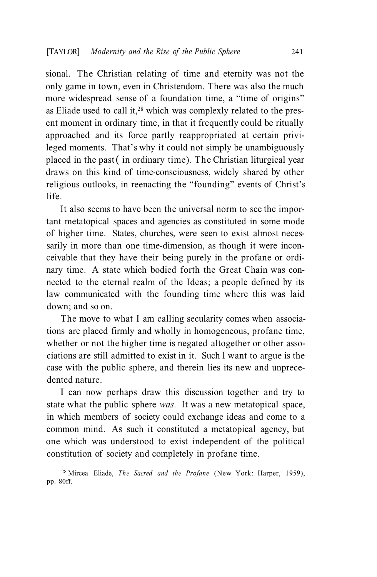sional. The Christian relating of time and eternity was not the only game in town, even in Christendom. There was also the much more widespread sense of a foundation time, a "time of origins" as Eliade used to call it,28 which was complexly related to the present moment in ordinary time, in that it frequently could be ritually approached and its force partly reappropriated at certain privileged moments. That's why it could not simply be unambiguously placed in the past ( in ordinary time). The Christian liturgical year draws on this kind of time-consciousness, widely shared by other religious outlooks, in reenacting the "founding" events of Christ's life.

It also seems to have been the universal norm to see the important metatopical spaces and agencies as constituted in some mode of higher time. States, churches, were seen to exist almost necessarily in more than one time-dimension, as though it were inconceivable that they have their being purely in the profane or ordinary time. A state which bodied forth the Great Chain was connected to the eternal realm of the Ideas; a people defined by its law communicated with the founding time where this was laid down; and so on.

The move to what I am calling secularity comes when associations are placed firmly and wholly in homogeneous, profane time, whether or not the higher time is negated altogether or other associations are still admitted to exist in it. Such I want to argue is the case with the public sphere, and therein lies its new and unprecedented nature.

I can now perhaps draw this discussion together and try to state what the public sphere *was.* It was a new metatopical space, in which members of society could exchange ideas and come to a common mind. As such it constituted a metatopical agency, but one which was understood to exist independent of the political constitution of society and completely in profane time.

<sup>28</sup> Mircea Eliade, *The Sacred and the Profane* (New York: Harper, 1959), pp. 80ff.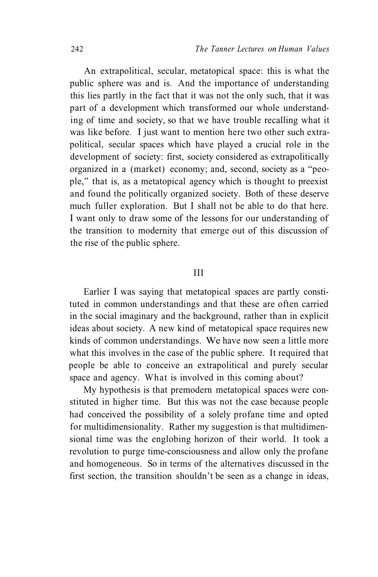An extrapolitical, secular, metatopical space: this is what the public sphere was and is. And the importance of understanding this lies partly in the fact that it was not the only such, that it was part of a development which transformed our whole understanding of time and society, so that we have trouble recalling what it was like before. I just want to mention here two other such extrapolitical, secular spaces which have played a crucial role in the development of society: first, society considered as extrapolitically organized in a (market) economy; and, second, society as a "people," that is, as a metatopical agency which is thought to preexist and found the politically organized society. Both of these deserve much fuller exploration. But I shall not be able to do that here. I want only to draw some of the lessons for our understanding of the transition to modernity that emerge out of this discussion of the rise of the public sphere.

### III

Earlier I was saying that metatopical spaces are partly constituted in common understandings and that these are often carried in the social imaginary and the background, rather than in explicit ideas about society. A new kind of metatopical space requires new kinds of common understandings. We have now seen a little more what this involves in the case of the public sphere. It required that people be able to conceive an extrapolitical and purely secular space and agency. What is involved in this coming about?

My hypothesis is that premodern metatopical spaces were constituted in higher time. But this was not the case because people had conceived the possibility of a solely profane time and opted for multidimensionality. Rather my suggestion is that multidimensional time was the englobing horizon of their world. It took a revolution to purge time-consciousness and allow only the profane and homogeneous. So in terms of the alternatives discussed in the first section, the transition shouldn't be seen as a change in ideas,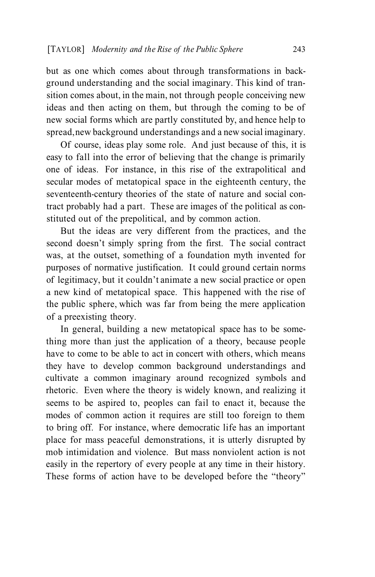but as one which comes about through transformations in background understanding and the social imaginary. This kind of transition comes about, in the main, not through people conceiving new ideas and then acting on them, but through the coming to be of new social forms which are partly constituted by, and hence help to spread, new background understandings and a new social imaginary.

Of course, ideas play some role. And just because of this, it is easy to fall into the error of believing that the change is primarily one of ideas. For instance, in this rise of the extrapolitical and secular modes of metatopical space in the eighteenth century, the seventeenth-century theories of the state of nature and social contract probably had a part. These are images of the political as constituted out of the prepolitical, and by common action.

But the ideas are very different from the practices, and the second doesn't simply spring from the first. The social contract was, at the outset, something of a foundation myth invented for purposes of normative justification. It could ground certain norms of legitimacy, but it couldn't animate a new social practice or open a new kind of metatopical space. This happened with the rise of the public sphere, which was far from being the mere application of a preexisting theory.

In general, building a new metatopical space has to be something more than just the application of a theory, because people have to come to be able to act in concert with others, which means they have to develop common background understandings and cultivate a common imaginary around recognized symbols and rhetoric. Even where the theory is widely known, and realizing it seems to be aspired to, peoples can fail to enact it, because the modes of common action it requires are still too foreign to them to bring off. For instance, where democratic life has an important place for mass peaceful demonstrations, it is utterly disrupted by mob intimidation and violence. But mass nonviolent action is not easily in the repertory of every people at any time in their history. These forms of action have to be developed before the "theory"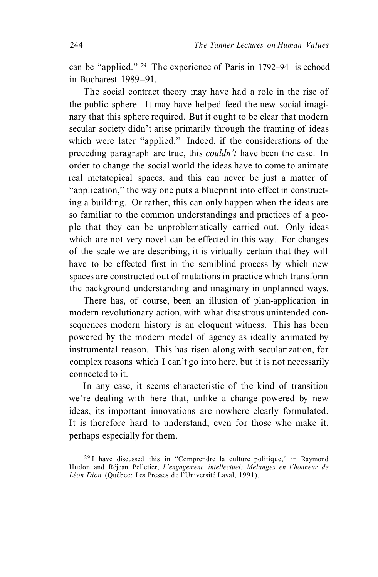can be "applied." 29 The experience of Paris in 1792–94 is echoed in Bucharest 1989-91.

The social contract theory may have had a role in the rise of the public sphere. It may have helped feed the new social imaginary that this sphere required. But it ought to be clear that modern secular society didn't arise primarily through the framing of ideas which were later "applied." Indeed, if the considerations of the preceding paragraph are true, this *couldn't* have been the case. In order to change the social world the ideas have to come to animate real metatopical spaces, and this can never be just a matter of "application," the way one puts a blueprint into effect in constructing a building. Or rather, this can only happen when the ideas are so familiar to the common understandings and practices of a people that they can be unproblematically carried out. Only ideas which are not very novel can be effected in this way. For changes of the scale we are describing, it is virtually certain that they will have to be effected first in the semiblind process by which new spaces are constructed out of mutations in practice which transform the background understanding and imaginary in unplanned ways.

There has, of course, been an illusion of plan-application in modern revolutionary action, with what disastrous unintended consequences modern history is an eloquent witness. This has been powered by the modern model of agency as ideally animated by instrumental reason. This has risen along with secularization, for complex reasons which I can't go into here, but it is not necessarily connected to it.

In any case, it seems characteristic of the kind of transition we're dealing with here that, unlike a change powered by new ideas, its important innovations are nowhere clearly formulated. It is therefore hard to understand, even for those who make it, perhaps especially for them.

<sup>29</sup> I have discussed this in "Comprendre la culture politique," in Raymond Hudon and Réjean Pelletier, *L'engagement intellectuel: Mélanges en l'honneur de Léon Dion* (Québec: Les Presses de l'Université Laval, 1991).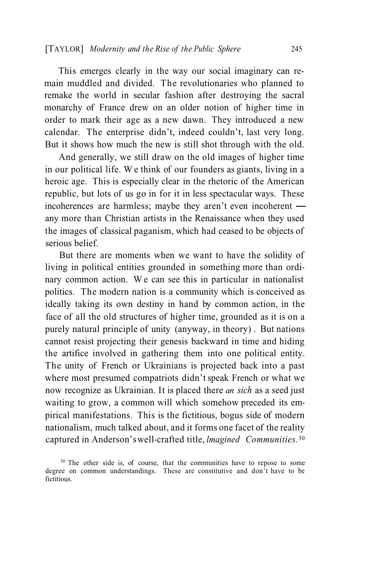This emerges clearly in the way our social imaginary can remain muddled and divided. The revolutionaries who planned to remake the world in secular fashion after destroying the sacral monarchy of France drew on an older notion of higher time in order to mark their age as a new dawn. They introduced a new calendar. The enterprise didn't, indeed couldn't, last very long. But it shows how much the new is still shot through with the old.

And generally, we still draw on the old images of higher time in our political life. We think of our founders as giants, living in a heroic age. This is especially clear in the rhetoric of the American republic, but lots of us go in for it in less spectacular ways. These incoherences are harmless; maybe they aren't even incoherent  $$ any more than Christian artists in the Renaissance when they used the images of classical paganism, which had ceased to be objects of serious belief.

But there are moments when we want to have the solidity of living in political entities grounded in something more than ordinary common action. We can see this in particular in nationalist politics. The modern nation is a community which is conceived as ideally taking its own destiny in hand by common action, in the face of all the old structures of higher time, grounded as it is on a purely natural principle of unity (anyway, in theory) . But nations cannot resist projecting their genesis backward in time and hiding the artifice involved in gathering them into one political entity. The unity of French or Ukrainians is projected back into a past where most presumed compatriots didn't speak French or what we now recognize as Ukrainian. It is placed there *an sich* as a seed just waiting to grow, a common will which somehow preceded its empirical manifestations. This is the fictitious, bogus side of modern nationalism, much talked about, and it forms one facet of the reality captured in Anderson's well-crafted title, *lmagined Communities.*<sup>30</sup>

 $30$  The other side is, of course, that the communities have to repose to some degree on common understandings. These are constitutive and don't have to be fictitious.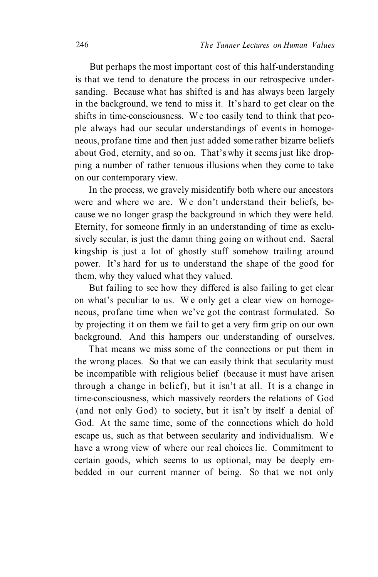But perhaps the most important cost of this half-understanding is that we tend to denature the process in our retrospecive undersanding. Because what has shifted is and has always been largely in the background, we tend to miss it. It's hard to get clear on the shifts in time-consciousness. We too easily tend to think that people always had our secular understandings of events in homogeneous, profane time and then just added some rather bizarre beliefs about God, eternity, and so on. That's why it seems just like dropping a number of rather tenuous illusions when they come to take on our contemporary view.

In the process, we gravely misidentify both where our ancestors were and where we are. We don't understand their beliefs, because we no longer grasp the background in which they were held. Eternity, for someone firmly in an understanding of time as exclusively secular, is just the damn thing going on without end. Sacral kingship is just a lot of ghostly stuff somehow trailing around power. It's hard for us to understand the shape of the good for them, why they valued what they valued.

But failing to see how they differed is also failing to get clear on what's peculiar to us. We only get a clear view on homogeneous, profane time when we've got the contrast formulated. So by projecting it on them we fail to get a very firm grip on our own background. And this hampers our understanding of ourselves.

That means we miss some of the connections or put them in the wrong places. So that we can easily think that secularity must be incompatible with religious belief (because it must have arisen through a change in belief), but it isn't at all. It is a change in time-consciousness, which massively reorders the relations of God (and not only God) to society, but it isn't by itself a denial of God. At the same time, some of the connections which do hold escape us, such as that between secularity and individualism. We have a wrong view of where our real choices lie. Commitment to certain goods, which seems to us optional, may be deeply embedded in our current manner of being. So that we not only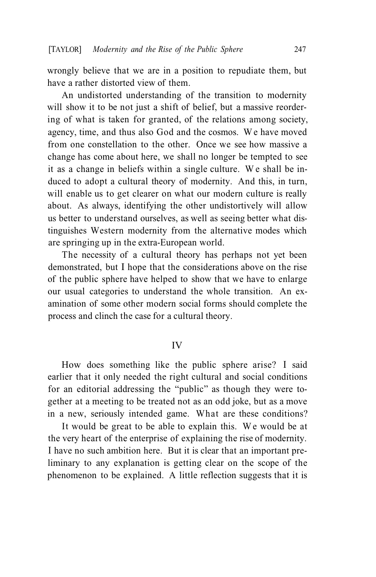wrongly believe that we are in a position to repudiate them, but have a rather distorted view of them.

An undistorted understanding of the transition to modernity will show it to be not just a shift of belief, but a massive reordering of what is taken for granted, of the relations among society, agency, time, and thus also God and the cosmos. We have moved from one constellation to the other. Once we see how massive a change has come about here, we shall no longer be tempted to see it as a change in beliefs within a single culture. We shall be induced to adopt a cultural theory of modernity. And this, in turn, will enable us to get clearer on what our modern culture is really about. As always, identifying the other undistortively will allow us better to understand ourselves, as well as seeing better what distinguishes Western modernity from the alternative modes which are springing up in the extra-European world.

The necessity of a cultural theory has perhaps not yet been demonstrated, but I hope that the considerations above on the rise of the public sphere have helped to show that we have to enlarge our usual categories to understand the whole transition. An examination of some other modern social forms should complete the process and clinch the case for a cultural theory.

#### IV

How does something like the public sphere arise? I said earlier that it only needed the right cultural and social conditions for an editorial addressing the "public" as though they were together at a meeting to be treated not as an odd joke, but as a move in a new, seriously intended game. What are these conditions?

It would be great to be able to explain this. We would be at the very heart of the enterprise of explaining the rise of modernity. I have no such ambition here. But it is clear that an important preliminary to any explanation is getting clear on the scope of the phenomenon to be explained. A little reflection suggests that it is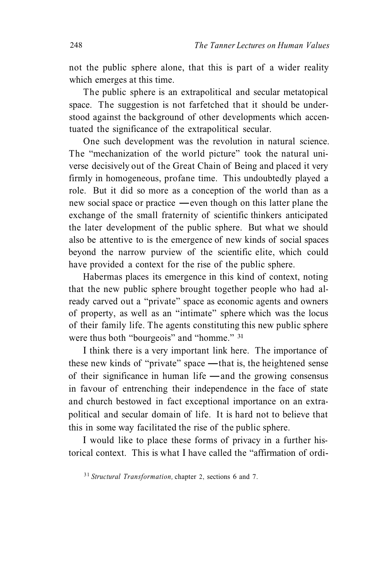not the public sphere alone, that this is part of a wider reality which emerges at this time.

The public sphere is an extrapolitical and secular metatopical space. The suggestion is not farfetched that it should be understood against the background of other developments which accentuated the significance of the extrapolitical secular.

One such development was the revolution in natural science. The "mechanization of the world picture" took the natural universe decisively out of the Great Chain of Being and placed it very firmly in homogeneous, profane time. This undoubtedly played a role. But it did so more as a conception of the world than as a new social space or practice — even though on this latter plane the exchange of the small fraternity of scientific thinkers anticipated the later development of the public sphere. But what we should also be attentive to is the emergence of new kinds of social spaces beyond the narrow purview of the scientific elite, which could have provided a context for the rise of the public sphere.

Habermas places its emergence in this kind of context, noting that the new public sphere brought together people who had already carved out a "private" space as economic agents and owners of property, as well as an "intimate" sphere which was the locus of their family life. The agents constituting this new public sphere were thus both "bourgeois" and "homme." <sup>31</sup>

I think there is a very important link here. The importance of I think there is a very important link here. The importance of<br>these new kinds of "private" space — that is, the heightened sense I think there is a very important link here. The importance of<br>these new kinds of "private" space —that is, the heightened sense<br>of their significance in human life —and the growing consensus in favour of entrenching their independence in the face of state and church bestowed in fact exceptional importance on an extrapolitical and secular domain of life. It is hard not to believe that this in some way facilitated the rise of the public sphere.

I would like to place these forms of privacy in a further historical context. This is what I have called the "affirmation of ordi-

<sup>31</sup>*Structural Transformation,* chapter 2, sections 6 and 7.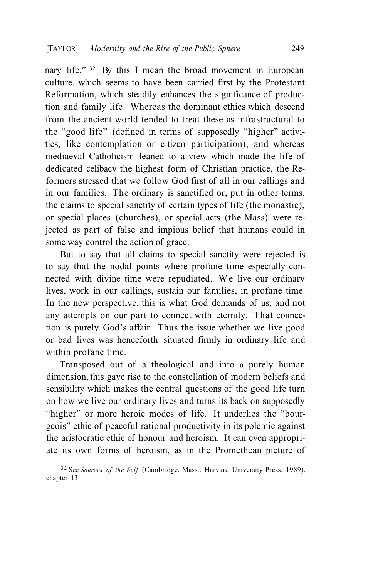nary life." <sup>32</sup> By this I mean the broad movement in European culture, which seems to have been carried first by the Protestant Reformation, which steadily enhances the significance of production and family life. Whereas the dominant ethics which descend from the ancient world tended to treat these as infrastructural to the "good life" (defined in terms of supposedly "higher" activities, like contemplation or citizen participation), and whereas mediaeval Catholicism leaned to a view which made the life of dedicated celibacy the highest form of Christian practice, the Reformers stressed that we follow God first of all in our callings and in our families. The ordinary is sanctified or, put in other terms, the claims to special sanctity of certain types of life (the monastic), or special places (churches), or special acts (the Mass) were rejected as part of false and impious belief that humans could in some way control the action of grace.

But to say that all claims to special sanctity were rejected is to say that the nodal points where profane time especially connected with divine time were repudiated. We live our ordinary lives, work in our callings, sustain our families, in profane time. In the new perspective, this is what God demands of us, and not any attempts on our part to connect with eternity. That connection is purely God's affair. Thus the issue whether we live good or bad lives was henceforth situated firmly in ordinary life and within profane time.

Transposed out of a theological and into a purely human dimension, this gave rise to the constellation of modern beliefs and sensibility which makes the central questions of the good life turn on how we live our ordinary lives and turns its back on supposedly "higher" or more heroic modes of life. It underlies the "bourgeois" ethic of peaceful rational productivity in its polemic against the aristocratic ethic of honour and heroism. It can even appropriate its own forms of heroism, as in the Promethean picture of

<sup>3 2</sup> See *Sources of the Self* (Cambridge, Mass.: Harvard University Press, 1989), chapter 13.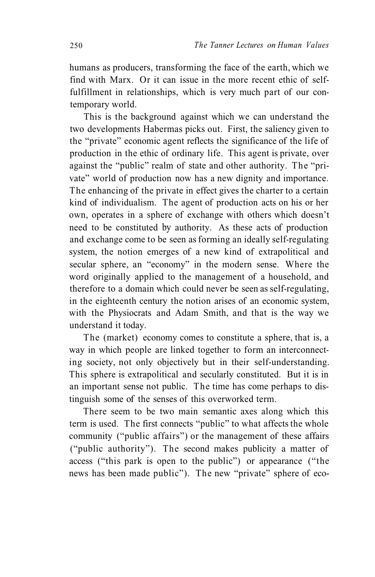humans as producers, transforming the face of the earth, which we find with Marx. Or it can issue in the more recent ethic of selffulfillment in relationships, which is very much part of our contemporary world.

This is the background against which we can understand the two developments Habermas picks out. First, the saliency given to the "private" economic agent reflects the significance of the life of production in the ethic of ordinary life. This agent is private, over against the "public" realm of state and other authority. The "private" world of production now has a new dignity and importance. The enhancing of the private in effect gives the charter to a certain kind of individualism. The agent of production acts on his or her own, operates in a sphere of exchange with others which doesn't need to be constituted by authority. As these acts of production and exchange come to be seen as forming an ideally self-regulating system, the notion emerges of a new kind of extrapolitical and secular sphere, an "economy" in the modern sense. Where the word originally applied to the management of a household, and therefore to a domain which could never be seen as self-regulating, in the eighteenth century the notion arises of an economic system, with the Physiocrats and Adam Smith, and that is the way we understand it today.

The (market) economy comes to constitute a sphere, that is, a way in which people are linked together to form an interconnecting society, not only objectively but in their self-understanding. This sphere is extrapolitical and secularly constituted. But it is in an important sense not public. The time has come perhaps to distinguish some of the senses of this overworked term.

There seem to be two main semantic axes along which this term is used. The first connects "public" to what affects the whole community ("public affairs") or the management of these affairs ("public authority"). The second makes publicity a matter of access ("this park is open to the public") or appearance ("the news has been made public"). The new "private" sphere of eco-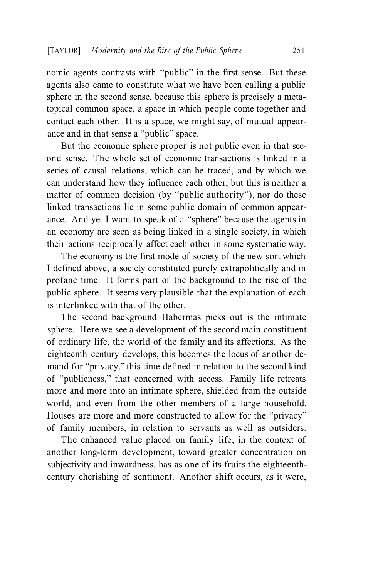nomic agents contrasts with "public" in the first sense. But these agents also came to constitute what we have been calling a public sphere in the second sense, because this sphere is precisely a metatopical common space, a space in which people come together and contact each other. It is a space, we might say, of mutual appearance and in that sense a "public" space.

But the economic sphere proper is not public even in that second sense. The whole set of economic transactions is linked in a series of causal relations, which can be traced, and by which we can understand how they influence each other, but this is neither a matter of common decision (by "public authority"), nor do these linked transactions lie in some public domain of common appearance. And yet I want to speak of a "sphere" because the agents in an economy are seen as being linked in a single society, in which their actions reciprocally affect each other in some systematic way.

The economy is the first mode of society of the new sort which I defined above, a society constituted purely extrapolitically and in profane time. It forms part of the background to the rise of the public sphere. It seems very plausible that the explanation of each is interlinked with that of the other.

The second background Habermas picks out is the intimate sphere. Here we see a development of the second main constituent of ordinary life, the world of the family and its affections. As the eighteenth century develops, this becomes the locus of another demand for "privacy," this time defined in relation to the second kind of "publicness," that concerned with access. Family life retreats more and more into an intimate sphere, shielded from the outside world, and even from the other members of a large household. Houses are more and more constructed to allow for the "privacy" of family members, in relation to servants as well as outsiders.

The enhanced value placed on family life, in the context of another long-term development, toward greater concentration on subjectivity and inwardness, has as one of its fruits the eighteenthcentury cherishing of sentiment. Another shift occurs, as it were,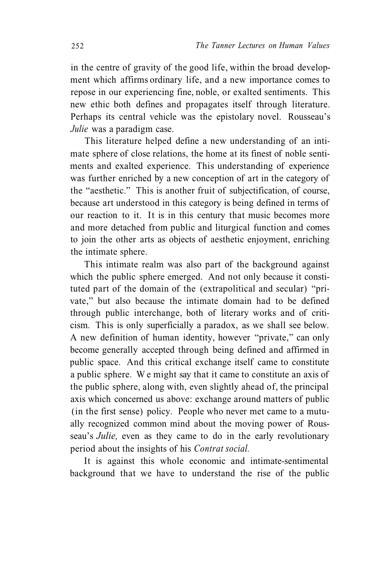in the centre of gravity of the good life, within the broad development which affirms ordinary life, and a new importance comes to repose in our experiencing fine, noble, or exalted sentiments. This new ethic both defines and propagates itself through literature. Perhaps its central vehicle was the epistolary novel. Rousseau's *Julie* was a paradigm case.

This literature helped define a new understanding of an intimate sphere of close relations, the home at its finest of noble sentiments and exalted experience. This understanding of experience was further enriched by a new conception of art in the category of the "aesthetic." This is another fruit of subjectification, of course, because art understood in this category is being defined in terms of our reaction to it. It is in this century that music becomes more and more detached from public and liturgical function and comes to join the other arts as objects of aesthetic enjoyment, enriching the intimate sphere.

This intimate realm was also part of the background against which the public sphere emerged. And not only because it constituted part of the domain of the (extrapolitical and secular) "private," but also because the intimate domain had to be defined through public interchange, both of literary works and of criticism. This is only superficially a paradox, as we shall see below. A new definition of human identity, however "private," can only become generally accepted through being defined and affirmed in public space. And this critical exchange itself came to constitute a public sphere. We might say that it came to constitute an axis of the public sphere, along with, even slightly ahead of, the principal axis which concerned us above: exchange around matters of public (in the first sense) policy. People who never met came to a mutually recognized common mind about the moving power of Rousseau's *Julie,* even as they came to do in the early revolutionary period about the insights of his *Contrat social.* 

It is against this whole economic and intimate-sentimental background that we have to understand the rise of the public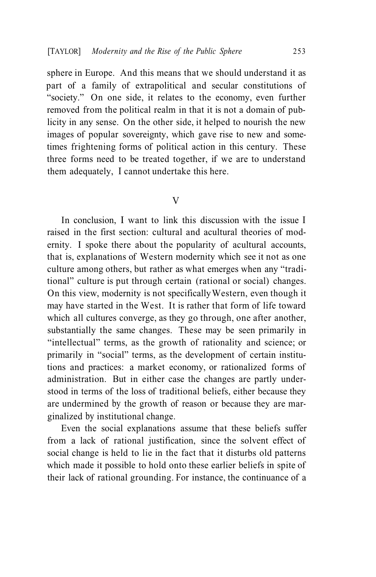sphere in Europe. And this means that we should understand it as part of a family of extrapolitical and secular constitutions of "society." On one side, it relates to the economy, even further removed from the political realm in that it is not a domain of publicity in any sense. On the other side, it helped to nourish the new images of popular sovereignty, which gave rise to new and sometimes frightening forms of political action in this century. These three forms need to be treated together, if we are to understand them adequately, I cannot undertake this here.

#### V

In conclusion, I want to link this discussion with the issue I raised in the first section: cultural and acultural theories of modernity. I spoke there about the popularity of acultural accounts, that is, explanations of Western modernity which see it not as one culture among others, but rather as what emerges when any "traditional" culture is put through certain (rational or social) changes. On this view, modernity is not specifically Western, even though it may have started in the West. It is rather that form of life toward which all cultures converge, as they go through, one after another, substantially the same changes. These may be seen primarily in "intellectual" terms, as the growth of rationality and science; or primarily in "social" terms, as the development of certain institutions and practices: a market economy, or rationalized forms of administration. But in either case the changes are partly understood in terms of the loss of traditional beliefs, either because they are undermined by the growth of reason or because they are marginalized by institutional change.

Even the social explanations assume that these beliefs suffer from a lack of rational justification, since the solvent effect of social change is held to lie in the fact that it disturbs old patterns which made it possible to hold onto these earlier beliefs in spite of their lack of rational grounding. For instance, the continuance of a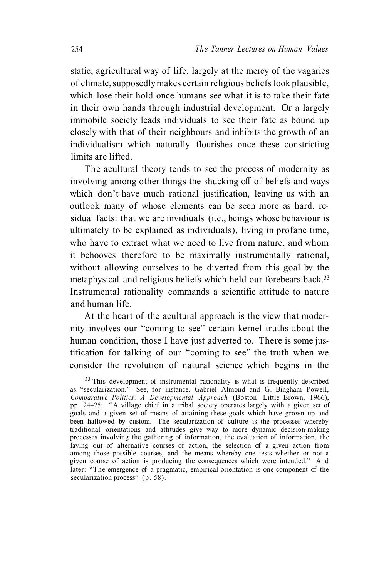static, agricultural way of life, largely at the mercy of the vagaries of climate, supposedly makes certain religious beliefs look plausible, which lose their hold once humans see what it is to take their fate in their own hands through industrial development. Or a largely immobile society leads individuals to see their fate as bound up closely with that of their neighbours and inhibits the growth of an individualism which naturally flourishes once these constricting limits are lifted.

The acultural theory tends to see the process of modernity as involving among other things the shucking off of beliefs and ways which don't have much rational justification, leaving us with an outlook many of whose elements can be seen more as hard, residual facts: that we are invidiuals (i.e., beings whose behaviour is ultimately to be explained as individuals), living in profane time, who have to extract what we need to live from nature, and whom it behooves therefore to be maximally instrumentally rational, without allowing ourselves to be diverted from this goal by the metaphysical and religious beliefs which held our forebears back.33 Instrumental rationality commands a scientific attitude to nature and human life.

At the heart of the acultural approach is the view that modernity involves our "coming to see" certain kernel truths about the human condition, those I have just adverted to. There is some justification for talking of our "coming to see" the truth when we consider the revolution of natural science which begins in the

<sup>&</sup>lt;sup>33</sup> This development of instrumental rationality is what is frequently described as "secularization." See, for instance, Gabriel Almond and G. Bingham Powell, *Comparative Politics: A Developmental Approach* (Boston: Little Brown, 1966), pp. 24–25: "A village chief in a tribal society operates largely with a given set of goals and a given set of means of attaining these goals which have grown up and been hallowed by custom. The secularization of culture is the processes whereby traditional orientations and attitudes give way to more dynamic decision-making processes involving the gathering of information, the evaluation of information, the laying out of alternative courses of action, the selection of a given action from among those possible courses, and the means whereby one tests whether or not a given course of action is producing the consequences which were intended." And later: "The emergence of a pragmatic, empirical orientation is one component of the secularization process" (p. 58).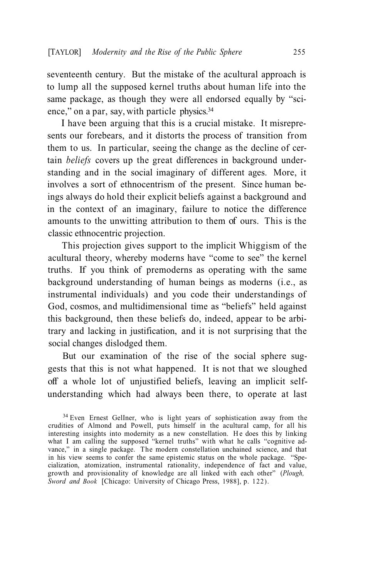seventeenth century. But the mistake of the acultural approach is to lump all the supposed kernel truths about human life into the same package, as though they were all endorsed equally by "science," on a par, say, with particle physics.<sup>34</sup>

I have been arguing that this is a crucial mistake. It misrepresents our forebears, and it distorts the process of transition from them to us. In particular, seeing the change as the decline of certain *beliefs* covers up the great differences in background understanding and in the social imaginary of different ages. More, it involves a sort of ethnocentrism of the present. Since human beings always do hold their explicit beliefs against a background and in the context of an imaginary, failure to notice the difference amounts to the unwitting attribution to them of ours. This is the classic ethnocentric projection.

This projection gives support to the implicit Whiggism of the acultural theory, whereby moderns have "come to see" the kernel truths. If you think of premoderns as operating with the same background understanding of human beings as moderns (i.e., as instrumental individuals) and you code their understandings of God, cosmos, and multidimensional time as "beliefs" held against this background, then these beliefs do, indeed, appear to be arbitrary and lacking in justification, and it is not surprising that the social changes dislodged them.

But our examination of the rise of the social sphere suggests that this is not what happened. It is not that we sloughed off a whole lot of unjustified beliefs, leaving an implicit selfunderstanding which had always been there, to operate at last

<sup>&</sup>lt;sup>34</sup> Even Ernest GelIner, who is light years of sophistication away from the crudities of Almond and Powell, puts himself in the acultural camp, for all his interesting insights into modernity as a new constellation. He does this by linking what I am calling the supposed "kernel truths" with what he calls "cognitive advance," in a single package. The modern constellation unchained science, and that in his view seems to confer the same epistemic status on the whole package. "Specialization, atomization, instrumental rationality, independence of fact and value, growth and provisionality of knowledge are all linked with each other" (*Plough, Sword and Book* [Chicago: University of Chicago Press, 1988], p. 122).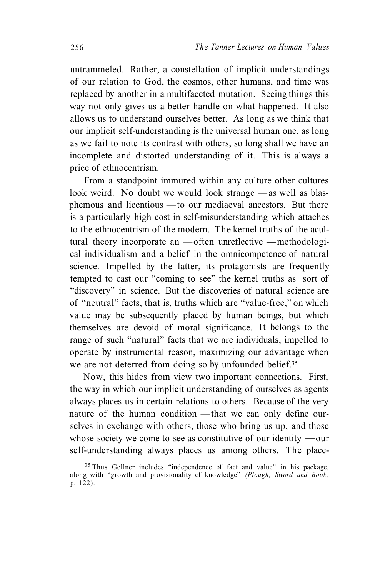untrammeled. Rather, a constellation of implicit understandings of our relation to God, the cosmos, other humans, and time was replaced by another in a multifaceted mutation. Seeing things this way not only gives us a better handle on what happened. It also allows us to understand ourselves better. As long as we think that our implicit self-understanding is the universal human one, as long as we fail to note its contrast with others, so long shall we have an incomplete and distorted understanding of it. This is always a price of ethnocentrism.

From a standpoint immured within any culture other cultures price of ethnocentrism.<br>
From a standpoint immured within any culture other cultures<br>
look weird. No doubt we would look strange — as well as blas-<br>
pharmous and ligentique the our mediatual appearant. But there look weird. No doubt we would look strange — as well as blas-<br>phemous and licentious — to our mediaeval ancestors. But there is a particularly high cost in self-misunderstanding which attaches to the ethnocentrism of the modern. The kernel truths of the acultural theory incorporate an - often unreflective - methodological individualism and a belief in the omnicompetence of natural science. Impelled by the latter, its protagonists are frequently tempted to cast our "coming to see" the kernel truths as sort of "discovery" in science. But the discoveries of natural science are of "neutral" facts, that is, truths which are "value-free," on which value may be subsequently placed by human beings, but which themselves are devoid of moral significance. It belongs to the range of such "natural" facts that we are individuals, impelled to operate by instrumental reason, maximizing our advantage when we are not deterred from doing so by unfounded belief.<sup>35</sup>

Now, this hides from view two important connections. First, the way in which our implicit understanding of ourselves as agents always places us in certain relations to others. Because of the very nature of the human condition - that we can only define ourselves in exchange with others, those who bring us up, and those nature of the human condition —that we can only define our-<br>selves in exchange with others, those who bring us up, and those<br>whose society we come to see as constitutive of our identity —our self-understanding always places us among others. The place-

<sup>&</sup>lt;sup>35</sup> Thus Gellner includes "independence of fact and value" in his package, along with "growth and provisionality of knowledge" *(Plough, Sword and Book,*  p. 122).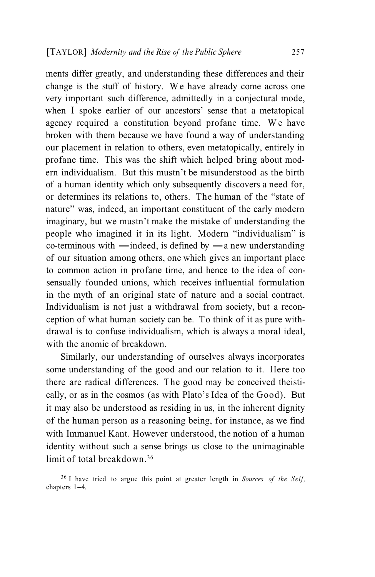ments differ greatly, and understanding these differences and their change is the stuff of history. We have already come across one very important such difference, admittedly in a conjectural mode, when I spoke earlier of our ancestors' sense that a metatopical agency required a constitution beyond profane time. We have broken with them because we have found a way of understanding our placement in relation to others, even metatopically, entirely in profane time. This was the shift which helped bring about modern individualism. But this mustn't be misunderstood as the birth of a human identity which only subsequently discovers a need for, or determines its relations to, others. The human of the "state of nature" was, indeed, an important constituent of the early modern imaginary, but we mustn't make the mistake of understanding the people who imagined it in its light. Modern "individualism" is maginary, but we mustn't make the mistake of understanding the<br>people who imagined it in its light. Modern "individualism" is<br>co-terminous with —indeed, is defined by —a new understanding<br>of our situation emerge athers, a of our situation among others, one which gives an important place to common action in profane time, and hence to the idea of consensually founded unions, which receives influential formulation in the myth of an original state of nature and a social contract. Individualism is not just a withdrawal from society, but a reconception of what human society can be. To think of it as pure withdrawal is to confuse individualism, which is always a moral ideal, with the anomie of breakdown.

Similarly, our understanding of ourselves always incorporates some understanding of the good and our relation to it. Here too there are radical differences. The good may be conceived theistically, or as in the cosmos (as with Plato's Idea of the Good). But it may also be understood as residing in us, in the inherent dignity of the human person as a reasoning being, for instance, as we find with Immanuel Kant. However understood, the notion of a human identity without such a sense brings us close to the unimaginable limit of total breakdown.<sup>36</sup>

<sup>36</sup> I have tried to argue this point at greater length in *Sources of the Self,*  chapters 1-4.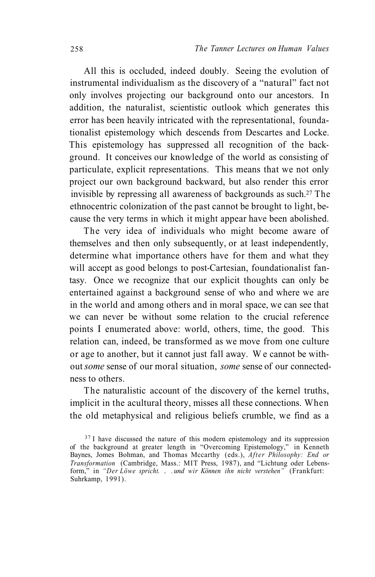All this is occluded, indeed doubly. Seeing the evolution of instrumental individualism as the discovery of a "natural" fact not only involves projecting our background onto our ancestors. In addition, the naturalist, scientistic outlook which generates this error has been heavily intricated with the representational, foundationalist epistemology which descends from Descartes and Locke. This epistemology has suppressed all recognition of the background. It conceives our knowledge of the world as consisting of particulate, explicit representations. This means that we not only project our own background backward, but also render this error invisible by repressing all awareness of backgrounds as such.27 The ethnocentric colonization of the past cannot be brought to light, because the very terms in which it might appear have been abolished.

The very idea of individuals who might become aware of themselves and then only subsequently, or at least independently, determine what importance others have for them and what they will accept as good belongs to post-Cartesian, foundationalist fantasy. Once we recognize that our explicit thoughts can only be entertained against a background sense of who and where we are in the world and among others and in moral space, we can see that we can never be without some relation to the crucial reference points I enumerated above: world, others, time, the good. This relation can, indeed, be transformed as we move from one culture or age to another, but it cannot just fall away. We cannot be without *some* sense of our moral situation, *some* sense of our connectedness to others.

The naturalistic account of the discovery of the kernel truths, implicit in the acultural theory, misses all these connections. When the old metaphysical and religious beliefs crumble, we find as a

<sup>&</sup>lt;sup>37</sup> I have discussed the nature of this modern epistemology and its suppression of the background at greater length in "Overcoming Epistemology," in Kenneth Baynes, Jomes Bohman, and Thomas Mccarthy (eds.), *After Philosophy: End or Transformation* (Cambridge, Mass.: MIT Press, 1987), and "Lichtung oder Lebensform," in *"Der Löwe spricht.* . . *und wir Können ihn nicht verstehen"* (Frankfurt: Suhrkamp, 1991).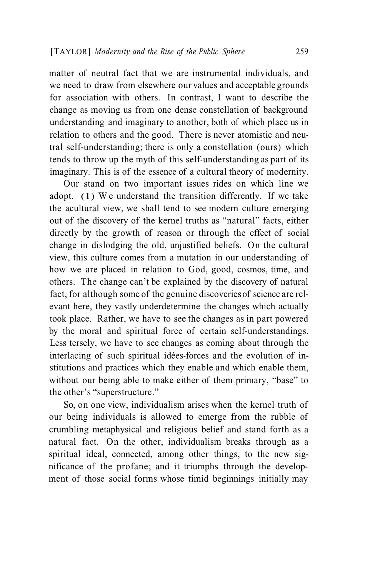matter of neutral fact that we are instrumental individuals, and we need to draw from elsewhere our values and acceptable grounds for association with others. In contrast, I want to describe the change as moving us from one dense constellation of background understanding and imaginary to another, both of which place us in relation to others and the good. There is never atomistic and neutral self-understanding; there is only a constellation (ours) which tends to throw up the myth of this self-understanding as part of its imaginary. This is of the essence of a cultural theory of modernity.

Our stand on two important issues rides on which line we adopt. (1) We understand the transition differently. If we take the acultural view, we shall tend to see modern culture emerging out of the discovery of the kernel truths as "natural" facts, either directly by the growth of reason or through the effect of social change in dislodging the old, unjustified beliefs. On the cultural view, this culture comes from a mutation in our understanding of how we are placed in relation to God, good, cosmos, time, and others. The change can't be explained by the discovery of natural fact, for although some of the genuine discoveries of science are relevant here, they vastly underdetermine the changes which actually took place. Rather, we have to see the changes as in part powered by the moral and spiritual force of certain self-understandings. Less tersely, we have to see changes as coming about through the interlacing of such spiritual idées-forces and the evolution of institutions and practices which they enable and which enable them, without our being able to make either of them primary, "base" to the other's "superstructure."

So, on one view, individualism arises when the kernel truth of our being individuals is allowed to emerge from the rubble of crumbling metaphysical and religious belief and stand forth as a natural fact. On the other, individualism breaks through as a spiritual ideal, connected, among other things, to the new significance of the profane; and it triumphs through the development of those social forms whose timid beginnings initially may